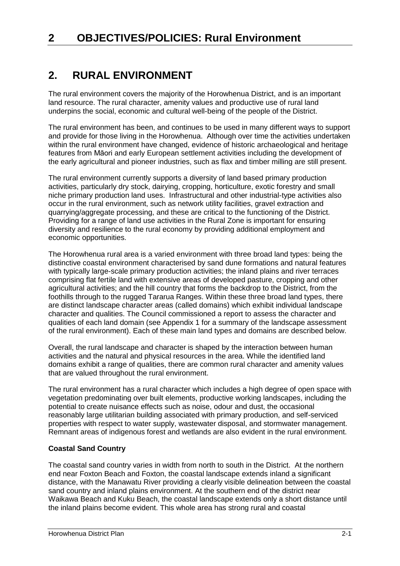# **2. RURAL ENVIRONMENT**

The rural environment covers the majority of the Horowhenua District, and is an important land resource. The rural character, amenity values and productive use of rural land underpins the social, economic and cultural well-being of the people of the District.

The rural environment has been, and continues to be used in many different ways to support and provide for those living in the Horowhenua. Although over time the activities undertaken within the rural environment have changed, evidence of historic archaeological and heritage features from Māori and early European settlement activities including the development of the early agricultural and pioneer industries, such as flax and timber milling are still present.

The rural environment currently supports a diversity of land based primary production activities, particularly dry stock, dairying, cropping, horticulture, exotic forestry and small niche primary production land uses. Infrastructural and other industrial-type activities also occur in the rural environment, such as network utility facilities, gravel extraction and quarrying/aggregate processing, and these are critical to the functioning of the District. Providing for a range of land use activities in the Rural Zone is important for ensuring diversity and resilience to the rural economy by providing additional employment and economic opportunities.

The Horowhenua rural area is a varied environment with three broad land types: being the distinctive coastal environment characterised by sand dune formations and natural features with typically large-scale primary production activities; the inland plains and river terraces comprising flat fertile land with extensive areas of developed pasture, cropping and other agricultural activities; and the hill country that forms the backdrop to the District, from the foothills through to the rugged Tararua Ranges. Within these three broad land types, there are distinct landscape character areas (called domains) which exhibit individual landscape character and qualities. The Council commissioned a report to assess the character and qualities of each land domain (see Appendix 1 for a summary of the landscape assessment of the rural environment). Each of these main land types and domains are described below.

Overall, the rural landscape and character is shaped by the interaction between human activities and the natural and physical resources in the area. While the identified land domains exhibit a range of qualities, there are common rural character and amenity values that are valued throughout the rural environment.

The rural environment has a rural character which includes a high degree of open space with vegetation predominating over built elements, productive working landscapes, including the potential to create nuisance effects such as noise, odour and dust, the occasional reasonably large utilitarian building associated with primary production, and self-serviced properties with respect to water supply, wastewater disposal, and stormwater management. Remnant areas of indigenous forest and wetlands are also evident in the rural environment.

## **Coastal Sand Country**

The coastal sand country varies in width from north to south in the District. At the northern end near Foxton Beach and Foxton, the coastal landscape extends inland a significant distance, with the Manawatu River providing a clearly visible delineation between the coastal sand country and inland plains environment. At the southern end of the district near Waikawa Beach and Kuku Beach, the coastal landscape extends only a short distance until the inland plains become evident. This whole area has strong rural and coastal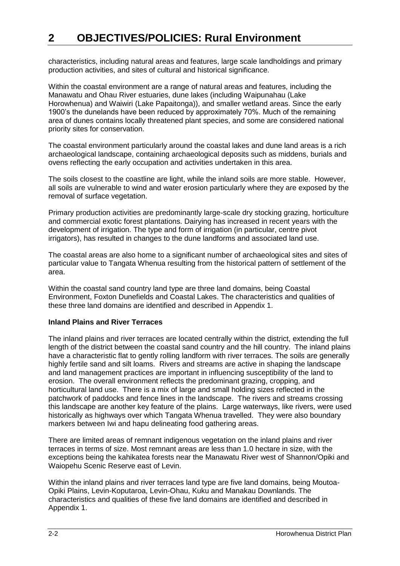characteristics, including natural areas and features, large scale landholdings and primary production activities, and sites of cultural and historical significance.

Within the coastal environment are a range of natural areas and features, including the Manawatu and Ohau River estuaries, dune lakes (including Waipunahau (Lake Horowhenua) and Waiwiri (Lake Papaitonga)), and smaller wetland areas. Since the early 1900's the dunelands have been reduced by approximately 70%. Much of the remaining area of dunes contains locally threatened plant species, and some are considered national priority sites for conservation.

The coastal environment particularly around the coastal lakes and dune land areas is a rich archaeological landscape, containing archaeological deposits such as middens, burials and ovens reflecting the early occupation and activities undertaken in this area.

The soils closest to the coastline are light, while the inland soils are more stable. However, all soils are vulnerable to wind and water erosion particularly where they are exposed by the removal of surface vegetation.

Primary production activities are predominantly large-scale dry stocking grazing, horticulture and commercial exotic forest plantations. Dairying has increased in recent years with the development of irrigation. The type and form of irrigation (in particular, centre pivot irrigators), has resulted in changes to the dune landforms and associated land use.

The coastal areas are also home to a significant number of archaeological sites and sites of particular value to Tangata Whenua resulting from the historical pattern of settlement of the area.

Within the coastal sand country land type are three land domains, being Coastal Environment, Foxton Dunefields and Coastal Lakes. The characteristics and qualities of these three land domains are identified and described in Appendix 1.

#### **Inland Plains and River Terraces**

The inland plains and river terraces are located centrally within the district, extending the full length of the district between the coastal sand country and the hill country. The inland plains have a characteristic flat to gently rolling landform with river terraces. The soils are generally highly fertile sand and silt loams. Rivers and streams are active in shaping the landscape and land management practices are important in influencing susceptibility of the land to erosion. The overall environment reflects the predominant grazing, cropping, and horticultural land use. There is a mix of large and small holding sizes reflected in the patchwork of paddocks and fence lines in the landscape. The rivers and streams crossing this landscape are another key feature of the plains. Large waterways, like rivers, were used historically as highways over which Tangata Whenua travelled. They were also boundary markers between Iwi and hapu delineating food gathering areas.

There are limited areas of remnant indigenous vegetation on the inland plains and river terraces in terms of size. Most remnant areas are less than 1.0 hectare in size, with the exceptions being the kahikatea forests near the Manawatu River west of Shannon/Opiki and Waiopehu Scenic Reserve east of Levin.

Within the inland plains and river terraces land type are five land domains, being Moutoa-Opiki Plains, Levin-Koputaroa, Levin-Ohau, Kuku and Manakau Downlands. The characteristics and qualities of these five land domains are identified and described in Appendix 1.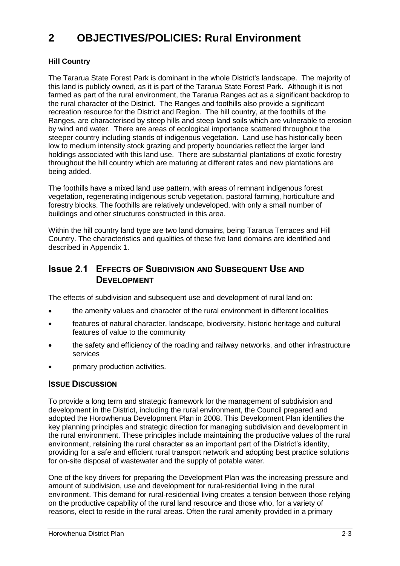# **Hill Country**

The Tararua State Forest Park is dominant in the whole District's landscape. The majority of this land is publicly owned, as it is part of the Tararua State Forest Park. Although it is not farmed as part of the rural environment, the Tararua Ranges act as a significant backdrop to the rural character of the District. The Ranges and foothills also provide a significant recreation resource for the District and Region. The hill country, at the foothills of the Ranges, are characterised by steep hills and steep land soils which are vulnerable to erosion by wind and water. There are areas of ecological importance scattered throughout the steeper country including stands of indigenous vegetation. Land use has historically been low to medium intensity stock grazing and property boundaries reflect the larger land holdings associated with this land use. There are substantial plantations of exotic forestry throughout the hill country which are maturing at different rates and new plantations are being added.

The foothills have a mixed land use pattern, with areas of remnant indigenous forest vegetation, regenerating indigenous scrub vegetation, pastoral farming, horticulture and forestry blocks. The foothills are relatively undeveloped, with only a small number of buildings and other structures constructed in this area.

Within the hill country land type are two land domains, being Tararua Terraces and Hill Country. The characteristics and qualities of these five land domains are identified and described in Appendix 1.

# **Issue 2.1 EFFECTS OF SUBDIVISION AND SUBSEQUENT USE AND DEVELOPMENT**

The effects of subdivision and subsequent use and development of rural land on:

- the amenity values and character of the rural environment in different localities
- features of natural character, landscape, biodiversity, historic heritage and cultural features of value to the community
- the safety and efficiency of the roading and railway networks, and other infrastructure services
- primary production activities.

## **ISSUE DISCUSSION**

To provide a long term and strategic framework for the management of subdivision and development in the District, including the rural environment, the Council prepared and adopted the Horowhenua Development Plan in 2008. This Development Plan identifies the key planning principles and strategic direction for managing subdivision and development in the rural environment. These principles include maintaining the productive values of the rural environment, retaining the rural character as an important part of the District's identity, providing for a safe and efficient rural transport network and adopting best practice solutions for on-site disposal of wastewater and the supply of potable water.

One of the key drivers for preparing the Development Plan was the increasing pressure and amount of subdivision, use and development for rural-residential living in the rural environment. This demand for rural-residential living creates a tension between those relying on the productive capability of the rural land resource and those who, for a variety of reasons, elect to reside in the rural areas. Often the rural amenity provided in a primary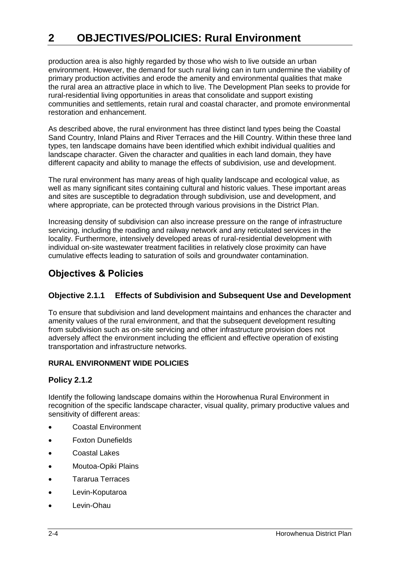production area is also highly regarded by those who wish to live outside an urban environment. However, the demand for such rural living can in turn undermine the viability of primary production activities and erode the amenity and environmental qualities that make the rural area an attractive place in which to live. The Development Plan seeks to provide for rural-residential living opportunities in areas that consolidate and support existing communities and settlements, retain rural and coastal character, and promote environmental restoration and enhancement.

As described above, the rural environment has three distinct land types being the Coastal Sand Country, Inland Plains and River Terraces and the Hill Country. Within these three land types, ten landscape domains have been identified which exhibit individual qualities and landscape character. Given the character and qualities in each land domain, they have different capacity and ability to manage the effects of subdivision, use and development.

The rural environment has many areas of high quality landscape and ecological value, as well as many significant sites containing cultural and historic values. These important areas and sites are susceptible to degradation through subdivision, use and development, and where appropriate, can be protected through various provisions in the District Plan.

Increasing density of subdivision can also increase pressure on the range of infrastructure servicing, including the roading and railway network and any reticulated services in the locality. Furthermore, intensively developed areas of rural-residential development with individual on-site wastewater treatment facilities in relatively close proximity can have cumulative effects leading to saturation of soils and groundwater contamination.

# **Objectives & Policies**

# **Objective 2.1.1 Effects of Subdivision and Subsequent Use and Development**

To ensure that subdivision and land development maintains and enhances the character and amenity values of the rural environment, and that the subsequent development resulting from subdivision such as on-site servicing and other infrastructure provision does not adversely affect the environment including the efficient and effective operation of existing transportation and infrastructure networks.

## **RURAL ENVIRONMENT WIDE POLICIES**

## **Policy 2.1.2**

Identify the following landscape domains within the Horowhenua Rural Environment in recognition of the specific landscape character, visual quality, primary productive values and sensitivity of different areas:

- Coastal Environment
- Foxton Dunefields
- Coastal Lakes
- Moutoa-Opiki Plains
- Tararua Terraces
- Levin-Koputaroa
- Levin-Ohau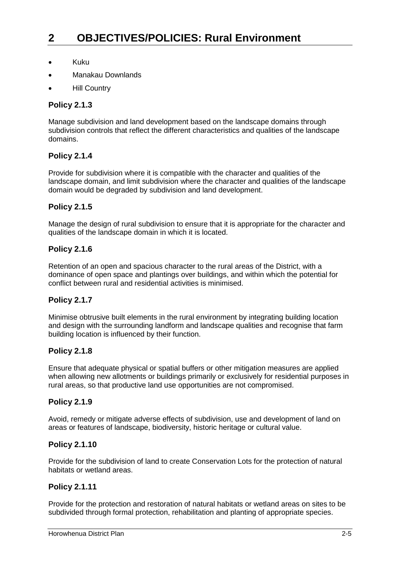- Kuku
- Manakau Downlands
- Hill Country

## **Policy 2.1.3**

Manage subdivision and land development based on the landscape domains through subdivision controls that reflect the different characteristics and qualities of the landscape domains.

## **Policy 2.1.4**

Provide for subdivision where it is compatible with the character and qualities of the landscape domain, and limit subdivision where the character and qualities of the landscape domain would be degraded by subdivision and land development.

## **Policy 2.1.5**

Manage the design of rural subdivision to ensure that it is appropriate for the character and qualities of the landscape domain in which it is located.

## **Policy 2.1.6**

Retention of an open and spacious character to the rural areas of the District, with a dominance of open space and plantings over buildings, and within which the potential for conflict between rural and residential activities is minimised.

## **Policy 2.1.7**

Minimise obtrusive built elements in the rural environment by integrating building location and design with the surrounding landform and landscape qualities and recognise that farm building location is influenced by their function.

#### **Policy 2.1.8**

Ensure that adequate physical or spatial buffers or other mitigation measures are applied when allowing new allotments or buildings primarily or exclusively for residential purposes in rural areas, so that productive land use opportunities are not compromised.

#### **Policy 2.1.9**

Avoid, remedy or mitigate adverse effects of subdivision, use and development of land on areas or features of landscape, biodiversity, historic heritage or cultural value.

## **Policy 2.1.10**

Provide for the subdivision of land to create Conservation Lots for the protection of natural habitats or wetland areas.

## **Policy 2.1.11**

Provide for the protection and restoration of natural habitats or wetland areas on sites to be subdivided through formal protection, rehabilitation and planting of appropriate species.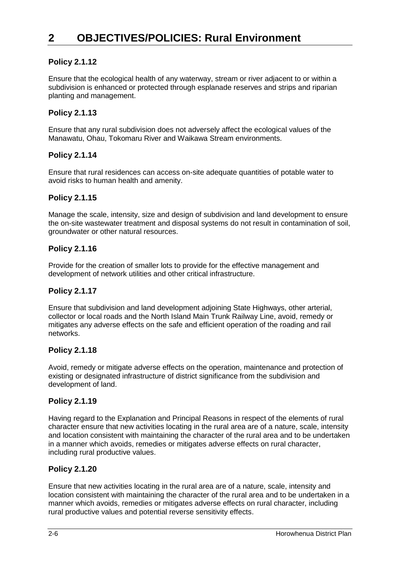# **Policy 2.1.12**

Ensure that the ecological health of any waterway, stream or river adjacent to or within a subdivision is enhanced or protected through esplanade reserves and strips and riparian planting and management.

# **Policy 2.1.13**

Ensure that any rural subdivision does not adversely affect the ecological values of the Manawatu, Ohau, Tokomaru River and Waikawa Stream environments.

## **Policy 2.1.14**

Ensure that rural residences can access on-site adequate quantities of potable water to avoid risks to human health and amenity.

#### **Policy 2.1.15**

Manage the scale, intensity, size and design of subdivision and land development to ensure the on-site wastewater treatment and disposal systems do not result in contamination of soil, groundwater or other natural resources.

#### **Policy 2.1.16**

Provide for the creation of smaller lots to provide for the effective management and development of network utilities and other critical infrastructure.

## **Policy 2.1.17**

Ensure that subdivision and land development adjoining State Highways, other arterial, collector or local roads and the North Island Main Trunk Railway Line, avoid, remedy or mitigates any adverse effects on the safe and efficient operation of the roading and rail networks.

## **Policy 2.1.18**

Avoid, remedy or mitigate adverse effects on the operation, maintenance and protection of existing or designated infrastructure of district significance from the subdivision and development of land.

## **Policy 2.1.19**

Having regard to the Explanation and Principal Reasons in respect of the elements of rural character ensure that new activities locating in the rural area are of a nature, scale, intensity and location consistent with maintaining the character of the rural area and to be undertaken in a manner which avoids, remedies or mitigates adverse effects on rural character, including rural productive values.

## **Policy 2.1.20**

Ensure that new activities locating in the rural area are of a nature, scale, intensity and location consistent with maintaining the character of the rural area and to be undertaken in a manner which avoids, remedies or mitigates adverse effects on rural character, including rural productive values and potential reverse sensitivity effects.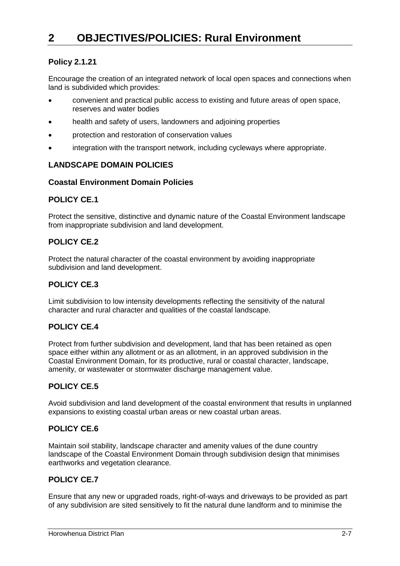# **Policy 2.1.21**

Encourage the creation of an integrated network of local open spaces and connections when land is subdivided which provides:

- convenient and practical public access to existing and future areas of open space, reserves and water bodies
- health and safety of users, landowners and adjoining properties
- protection and restoration of conservation values
- integration with the transport network, including cycleways where appropriate.

# **LANDSCAPE DOMAIN POLICIES**

## **Coastal Environment Domain Policies**

## **POLICY CE.1**

Protect the sensitive, distinctive and dynamic nature of the Coastal Environment landscape from inappropriate subdivision and land development.

# **POLICY CE.2**

Protect the natural character of the coastal environment by avoiding inappropriate subdivision and land development.

# **POLICY CE.3**

Limit subdivision to low intensity developments reflecting the sensitivity of the natural character and rural character and qualities of the coastal landscape.

# **POLICY CE.4**

Protect from further subdivision and development, land that has been retained as open space either within any allotment or as an allotment, in an approved subdivision in the Coastal Environment Domain, for its productive, rural or coastal character, landscape, amenity, or wastewater or stormwater discharge management value.

## **POLICY CE.5**

Avoid subdivision and land development of the coastal environment that results in unplanned expansions to existing coastal urban areas or new coastal urban areas.

# **POLICY CE.6**

Maintain soil stability, landscape character and amenity values of the dune country landscape of the Coastal Environment Domain through subdivision design that minimises earthworks and vegetation clearance.

# **POLICY CE.7**

Ensure that any new or upgraded roads, right-of-ways and driveways to be provided as part of any subdivision are sited sensitively to fit the natural dune landform and to minimise the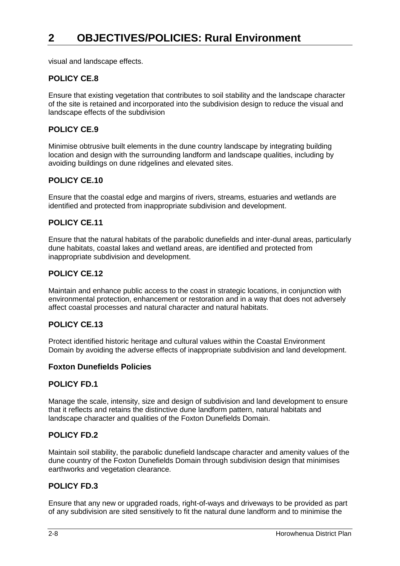visual and landscape effects.

# **POLICY CE.8**

Ensure that existing vegetation that contributes to soil stability and the landscape character of the site is retained and incorporated into the subdivision design to reduce the visual and landscape effects of the subdivision

# **POLICY CE.9**

Minimise obtrusive built elements in the dune country landscape by integrating building location and design with the surrounding landform and landscape qualities, including by avoiding buildings on dune ridgelines and elevated sites.

## **POLICY CE.10**

Ensure that the coastal edge and margins of rivers, streams, estuaries and wetlands are identified and protected from inappropriate subdivision and development.

# **POLICY CE.11**

Ensure that the natural habitats of the parabolic dunefields and inter-dunal areas, particularly dune habitats, coastal lakes and wetland areas, are identified and protected from inappropriate subdivision and development.

# **POLICY CE.12**

Maintain and enhance public access to the coast in strategic locations, in conjunction with environmental protection, enhancement or restoration and in a way that does not adversely affect coastal processes and natural character and natural habitats.

## **POLICY CE.13**

Protect identified historic heritage and cultural values within the Coastal Environment Domain by avoiding the adverse effects of inappropriate subdivision and land development.

## **Foxton Dunefields Policies**

## **POLICY FD.1**

Manage the scale, intensity, size and design of subdivision and land development to ensure that it reflects and retains the distinctive dune landform pattern, natural habitats and landscape character and qualities of the Foxton Dunefields Domain.

## **POLICY FD.2**

Maintain soil stability, the parabolic dunefield landscape character and amenity values of the dune country of the Foxton Dunefields Domain through subdivision design that minimises earthworks and vegetation clearance.

## **POLICY FD.3**

Ensure that any new or upgraded roads, right-of-ways and driveways to be provided as part of any subdivision are sited sensitively to fit the natural dune landform and to minimise the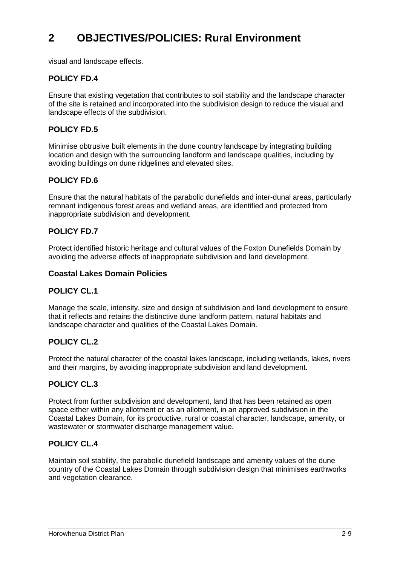visual and landscape effects.

# **POLICY FD.4**

Ensure that existing vegetation that contributes to soil stability and the landscape character of the site is retained and incorporated into the subdivision design to reduce the visual and landscape effects of the subdivision.

# **POLICY FD.5**

Minimise obtrusive built elements in the dune country landscape by integrating building location and design with the surrounding landform and landscape qualities, including by avoiding buildings on dune ridgelines and elevated sites.

## **POLICY FD.6**

Ensure that the natural habitats of the parabolic dunefields and inter-dunal areas, particularly remnant indigenous forest areas and wetland areas, are identified and protected from inappropriate subdivision and development.

# **POLICY FD.7**

Protect identified historic heritage and cultural values of the Foxton Dunefields Domain by avoiding the adverse effects of inappropriate subdivision and land development.

## **Coastal Lakes Domain Policies**

## **POLICY CL.1**

Manage the scale, intensity, size and design of subdivision and land development to ensure that it reflects and retains the distinctive dune landform pattern, natural habitats and landscape character and qualities of the Coastal Lakes Domain.

## **POLICY CL.2**

Protect the natural character of the coastal lakes landscape, including wetlands, lakes, rivers and their margins, by avoiding inappropriate subdivision and land development.

## **POLICY CL.3**

Protect from further subdivision and development, land that has been retained as open space either within any allotment or as an allotment, in an approved subdivision in the Coastal Lakes Domain, for its productive, rural or coastal character, landscape, amenity, or wastewater or stormwater discharge management value.

## **POLICY CL.4**

Maintain soil stability, the parabolic dunefield landscape and amenity values of the dune country of the Coastal Lakes Domain through subdivision design that minimises earthworks and vegetation clearance.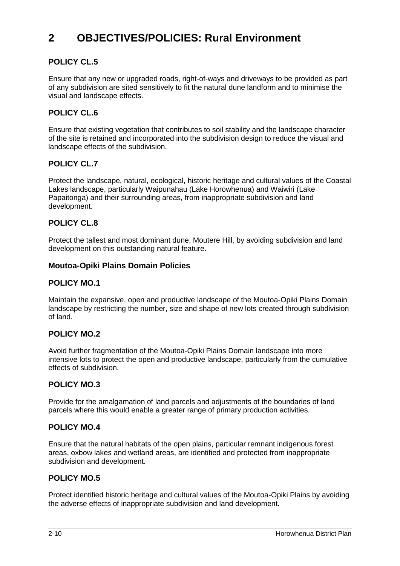# **POLICY CL.5**

Ensure that any new or upgraded roads, right-of-ways and driveways to be provided as part of any subdivision are sited sensitively to fit the natural dune landform and to minimise the visual and landscape effects.

# **POLICY CL.6**

Ensure that existing vegetation that contributes to soil stability and the landscape character of the site is retained and incorporated into the subdivision design to reduce the visual and landscape effects of the subdivision.

## **POLICY CL.7**

Protect the landscape, natural, ecological, historic heritage and cultural values of the Coastal Lakes landscape, particularly Waipunahau (Lake Horowhenua) and Waiwiri (Lake Papaitonga) and their surrounding areas, from inappropriate subdivision and land development.

# **POLICY CL.8**

Protect the tallest and most dominant dune, Moutere Hill, by avoiding subdivision and land development on this outstanding natural feature.

#### **Moutoa-Opiki Plains Domain Policies**

#### **POLICY MO.1**

Maintain the expansive, open and productive landscape of the Moutoa-Opiki Plains Domain landscape by restricting the number, size and shape of new lots created through subdivision of land.

## **POLICY MO.2**

Avoid further fragmentation of the Moutoa-Opiki Plains Domain landscape into more intensive lots to protect the open and productive landscape, particularly from the cumulative effects of subdivision.

## **POLICY MO.3**

Provide for the amalgamation of land parcels and adjustments of the boundaries of land parcels where this would enable a greater range of primary production activities.

#### **POLICY MO.4**

Ensure that the natural habitats of the open plains, particular remnant indigenous forest areas, oxbow lakes and wetland areas, are identified and protected from inappropriate subdivision and development.

## **POLICY MO.5**

Protect identified historic heritage and cultural values of the Moutoa-Opiki Plains by avoiding the adverse effects of inappropriate subdivision and land development.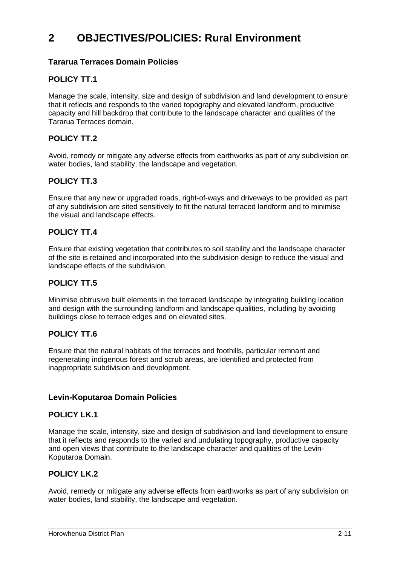# **Tararua Terraces Domain Policies**

# **POLICY TT.1**

Manage the scale, intensity, size and design of subdivision and land development to ensure that it reflects and responds to the varied topography and elevated landform, productive capacity and hill backdrop that contribute to the landscape character and qualities of the Tararua Terraces domain.

# **POLICY TT 2**

Avoid, remedy or mitigate any adverse effects from earthworks as part of any subdivision on water bodies, land stability, the landscape and vegetation.

# **POLICY TT.3**

Ensure that any new or upgraded roads, right-of-ways and driveways to be provided as part of any subdivision are sited sensitively to fit the natural terraced landform and to minimise the visual and landscape effects.

# **POLICY TT.4**

Ensure that existing vegetation that contributes to soil stability and the landscape character of the site is retained and incorporated into the subdivision design to reduce the visual and landscape effects of the subdivision.

# **POLICY TT.5**

Minimise obtrusive built elements in the terraced landscape by integrating building location and design with the surrounding landform and landscape qualities, including by avoiding buildings close to terrace edges and on elevated sites.

# **POLICY TT.6**

Ensure that the natural habitats of the terraces and foothills, particular remnant and regenerating indigenous forest and scrub areas, are identified and protected from inappropriate subdivision and development.

## **Levin-Koputaroa Domain Policies**

## **POLICY LK.1**

Manage the scale, intensity, size and design of subdivision and land development to ensure that it reflects and responds to the varied and undulating topography, productive capacity and open views that contribute to the landscape character and qualities of the Levin-Koputaroa Domain.

## **POLICY LK.2**

Avoid, remedy or mitigate any adverse effects from earthworks as part of any subdivision on water bodies, land stability, the landscape and vegetation.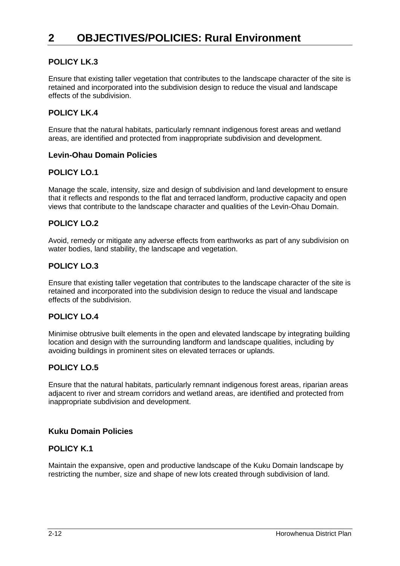# **POLICY LK.3**

Ensure that existing taller vegetation that contributes to the landscape character of the site is retained and incorporated into the subdivision design to reduce the visual and landscape effects of the subdivision.

# **POLICY LK.4**

Ensure that the natural habitats, particularly remnant indigenous forest areas and wetland areas, are identified and protected from inappropriate subdivision and development.

#### **Levin-Ohau Domain Policies**

## **POLICY LO.1**

Manage the scale, intensity, size and design of subdivision and land development to ensure that it reflects and responds to the flat and terraced landform, productive capacity and open views that contribute to the landscape character and qualities of the Levin-Ohau Domain.

## **POLICY LO.2**

Avoid, remedy or mitigate any adverse effects from earthworks as part of any subdivision on water bodies, land stability, the landscape and vegetation.

## **POLICY LO.3**

Ensure that existing taller vegetation that contributes to the landscape character of the site is retained and incorporated into the subdivision design to reduce the visual and landscape effects of the subdivision.

## **POLICY LO.4**

Minimise obtrusive built elements in the open and elevated landscape by integrating building location and design with the surrounding landform and landscape qualities, including by avoiding buildings in prominent sites on elevated terraces or uplands.

## **POLICY LO.5**

Ensure that the natural habitats, particularly remnant indigenous forest areas, riparian areas adjacent to river and stream corridors and wetland areas, are identified and protected from inappropriate subdivision and development.

#### **Kuku Domain Policies**

## **POLICY K.1**

Maintain the expansive, open and productive landscape of the Kuku Domain landscape by restricting the number, size and shape of new lots created through subdivision of land.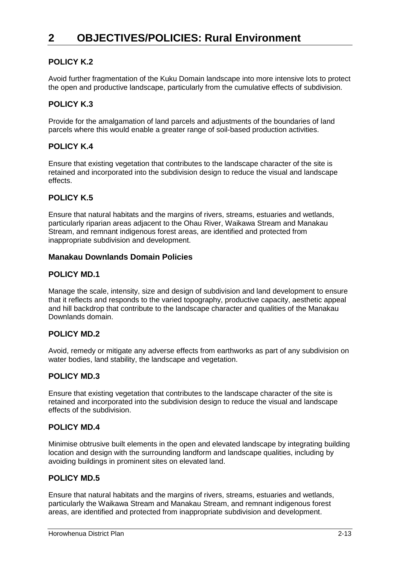# **POLICY K.2**

Avoid further fragmentation of the Kuku Domain landscape into more intensive lots to protect the open and productive landscape, particularly from the cumulative effects of subdivision.

# **POLICY K.3**

Provide for the amalgamation of land parcels and adjustments of the boundaries of land parcels where this would enable a greater range of soil-based production activities.

# **POLICY K.4**

Ensure that existing vegetation that contributes to the landscape character of the site is retained and incorporated into the subdivision design to reduce the visual and landscape effects.

# **POLICY K.5**

Ensure that natural habitats and the margins of rivers, streams, estuaries and wetlands, particularly riparian areas adjacent to the Ohau River, Waikawa Stream and Manakau Stream, and remnant indigenous forest areas, are identified and protected from inappropriate subdivision and development.

#### **Manakau Downlands Domain Policies**

## **POLICY MD.1**

Manage the scale, intensity, size and design of subdivision and land development to ensure that it reflects and responds to the varied topography, productive capacity, aesthetic appeal and hill backdrop that contribute to the landscape character and qualities of the Manakau Downlands domain.

## **POLICY MD.2**

Avoid, remedy or mitigate any adverse effects from earthworks as part of any subdivision on water bodies, land stability, the landscape and vegetation.

## **POLICY MD.3**

Ensure that existing vegetation that contributes to the landscape character of the site is retained and incorporated into the subdivision design to reduce the visual and landscape effects of the subdivision.

## **POLICY MD.4**

Minimise obtrusive built elements in the open and elevated landscape by integrating building location and design with the surrounding landform and landscape qualities, including by avoiding buildings in prominent sites on elevated land.

## **POLICY MD.5**

Ensure that natural habitats and the margins of rivers, streams, estuaries and wetlands, particularly the Waikawa Stream and Manakau Stream, and remnant indigenous forest areas, are identified and protected from inappropriate subdivision and development.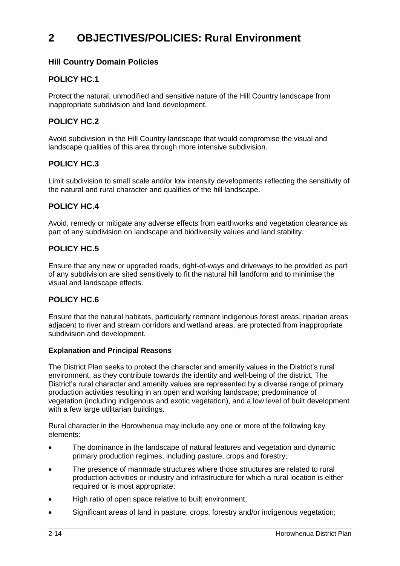# **Hill Country Domain Policies**

# **POLICY HC.1**

Protect the natural, unmodified and sensitive nature of the Hill Country landscape from inappropriate subdivision and land development.

## **POLICY HC.2**

Avoid subdivision in the Hill Country landscape that would compromise the visual and landscape qualities of this area through more intensive subdivision.

## **POLICY HC.3**

Limit subdivision to small scale and/or low intensity developments reflecting the sensitivity of the natural and rural character and qualities of the hill landscape.

# **POLICY HC.4**

Avoid, remedy or mitigate any adverse effects from earthworks and vegetation clearance as part of any subdivision on landscape and biodiversity values and land stability.

# **POLICY HC.5**

Ensure that any new or upgraded roads, right-of-ways and driveways to be provided as part of any subdivision are sited sensitively to fit the natural hill landform and to minimise the visual and landscape effects.

# **POLICY HC.6**

Ensure that the natural habitats, particularly remnant indigenous forest areas, riparian areas adjacent to river and stream corridors and wetland areas, are protected from inappropriate subdivision and development.

#### **Explanation and Principal Reasons**

The District Plan seeks to protect the character and amenity values in the District's rural environment, as they contribute towards the identity and well-being of the district. The District's rural character and amenity values are represented by a diverse range of primary production activities resulting in an open and working landscape; predominance of vegetation (including indigenous and exotic vegetation), and a low level of built development with a few large utilitarian buildings.

Rural character in the Horowhenua may include any one or more of the following key elements:

- The dominance in the landscape of natural features and vegetation and dynamic primary production regimes, including pasture, crops and forestry;
- The presence of manmade structures where those structures are related to rural production activities or industry and infrastructure for which a rural location is either required or is most appropriate;
- High ratio of open space relative to built environment;
- Significant areas of land in pasture, crops, forestry and/or indigenous vegetation;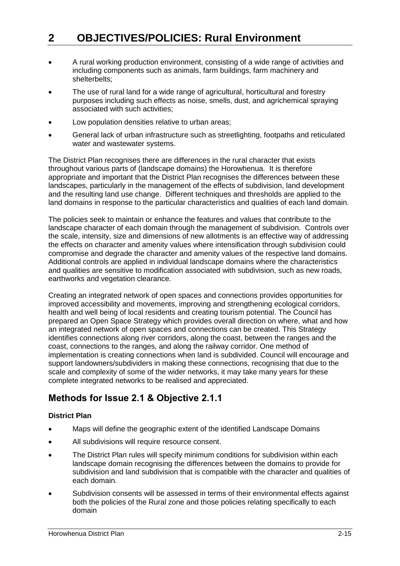- A rural working production environment, consisting of a wide range of activities and including components such as animals, farm buildings, farm machinery and shelterbelts;
- The use of rural land for a wide range of agricultural, horticultural and forestry purposes including such effects as noise, smells, dust, and agrichemical spraying associated with such activities;
- Low population densities relative to urban areas;
- General lack of urban infrastructure such as streetlighting, footpaths and reticulated water and wastewater systems.

The District Plan recognises there are differences in the rural character that exists throughout various parts of (landscape domains) the Horowhenua. It is therefore appropriate and important that the District Plan recognises the differences between these landscapes, particularly in the management of the effects of subdivision, land development and the resulting land use change. Different techniques and thresholds are applied to the land domains in response to the particular characteristics and qualities of each land domain.

The policies seek to maintain or enhance the features and values that contribute to the landscape character of each domain through the management of subdivision. Controls over the scale, intensity, size and dimensions of new allotments is an effective way of addressing the effects on character and amenity values where intensification through subdivision could compromise and degrade the character and amenity values of the respective land domains. Additional controls are applied in individual landscape domains where the characteristics and qualities are sensitive to modification associated with subdivision, such as new roads, earthworks and vegetation clearance.

Creating an integrated network of open spaces and connections provides opportunities for improved accessibility and movements, improving and strengthening ecological corridors, health and well being of local residents and creating tourism potential. The Council has prepared an Open Space Strategy which provides overall direction on where, what and how an integrated network of open spaces and connections can be created. This Strategy identifies connections along river corridors, along the coast, between the ranges and the coast, connections to the ranges, and along the railway corridor. One method of implementation is creating connections when land is subdivided. Council will encourage and support landowners/subdividers in making these connections, recognising that due to the scale and complexity of some of the wider networks, it may take many years for these complete integrated networks to be realised and appreciated.

# **Methods for Issue 2.1 & Objective 2.1.1**

## **District Plan**

- Maps will define the geographic extent of the identified Landscape Domains
- All subdivisions will require resource consent.
- The District Plan rules will specify minimum conditions for subdivision within each landscape domain recognising the differences between the domains to provide for subdivision and land subdivision that is compatible with the character and qualities of each domain.
- Subdivision consents will be assessed in terms of their environmental effects against both the policies of the Rural zone and those policies relating specifically to each domain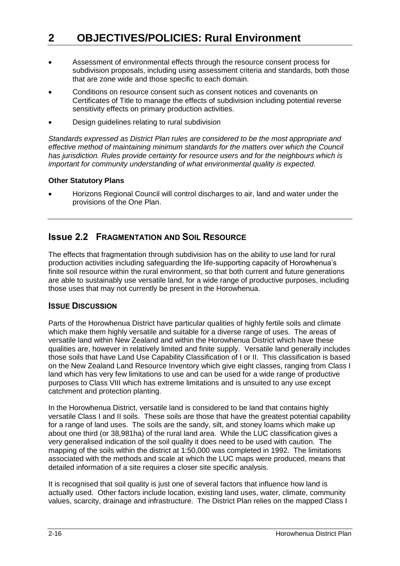- Assessment of environmental effects through the resource consent process for subdivision proposals, including using assessment criteria and standards, both those that are zone wide and those specific to each domain.
- Conditions on resource consent such as consent notices and covenants on Certificates of Title to manage the effects of subdivision including potential reverse sensitivity effects on primary production activities.
- Design guidelines relating to rural subdivision

*Standards expressed as District Plan rules are considered to be the most appropriate and effective method of maintaining minimum standards for the matters over which the Council has jurisdiction. Rules provide certainty for resource users and for the neighbours which is important for community understanding of what environmental quality is expected.*

#### **Other Statutory Plans**

 Horizons Regional Council will control discharges to air, land and water under the provisions of the One Plan.

# **Issue 2.2 FRAGMENTATION AND SOIL RESOURCE**

The effects that fragmentation through subdivision has on the ability to use land for rural production activities including safeguarding the life-supporting capacity of Horowhenua's finite soil resource within the rural environment, so that both current and future generations are able to sustainably use versatile land, for a wide range of productive purposes, including those uses that may not currently be present in the Horowhenua.

## **ISSUE DISCUSSION**

Parts of the Horowhenua District have particular qualities of highly fertile soils and climate which make them highly versatile and suitable for a diverse range of uses. The areas of versatile land within New Zealand and within the Horowhenua District which have these qualities are, however in relatively limited and finite supply. Versatile land generally includes those soils that have Land Use Capability Classification of I or II. This classification is based on the New Zealand Land Resource Inventory which give eight classes, ranging from Class I land which has very few limitations to use and can be used for a wide range of productive purposes to Class VIII which has extreme limitations and is unsuited to any use except catchment and protection planting.

In the Horowhenua District, versatile land is considered to be land that contains highly versatile Class I and II soils. These soils are those that have the greatest potential capability for a range of land uses. The soils are the sandy, silt, and stoney loams which make up about one third (or 38,981ha) of the rural land area. While the LUC classification gives a very generalised indication of the soil quality it does need to be used with caution. The mapping of the soils within the district at 1:50,000 was completed in 1992. The limitations associated with the methods and scale at which the LUC maps were produced, means that detailed information of a site requires a closer site specific analysis.

It is recognised that soil quality is just one of several factors that influence how land is actually used. Other factors include location, existing land uses, water, climate, community values, scarcity, drainage and infrastructure. The District Plan relies on the mapped Class I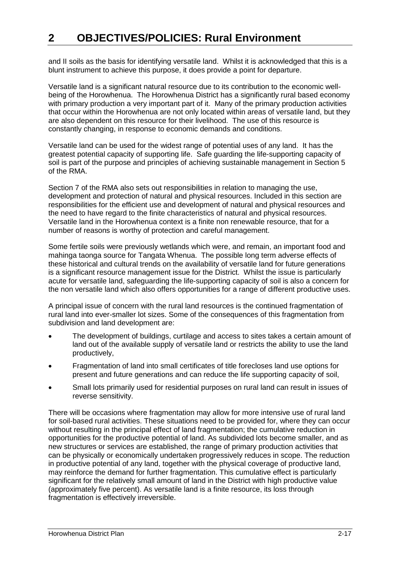and II soils as the basis for identifying versatile land. Whilst it is acknowledged that this is a blunt instrument to achieve this purpose, it does provide a point for departure.

Versatile land is a significant natural resource due to its contribution to the economic wellbeing of the Horowhenua. The Horowhenua District has a significantly rural based economy with primary production a very important part of it. Many of the primary production activities that occur within the Horowhenua are not only located within areas of versatile land, but they are also dependent on this resource for their livelihood. The use of this resource is constantly changing, in response to economic demands and conditions.

Versatile land can be used for the widest range of potential uses of any land. It has the greatest potential capacity of supporting life. Safe guarding the life-supporting capacity of soil is part of the purpose and principles of achieving sustainable management in Section 5 of the RMA.

Section 7 of the RMA also sets out responsibilities in relation to managing the use, development and protection of natural and physical resources. Included in this section are responsibilities for the efficient use and development of natural and physical resources and the need to have regard to the finite characteristics of natural and physical resources. Versatile land in the Horowhenua context is a finite non renewable resource, that for a number of reasons is worthy of protection and careful management.

Some fertile soils were previously wetlands which were, and remain, an important food and mahinga taonga source for Tangata Whenua. The possible long term adverse effects of these historical and cultural trends on the availability of versatile land for future generations is a significant resource management issue for the District. Whilst the issue is particularly acute for versatile land, safeguarding the life-supporting capacity of soil is also a concern for the non versatile land which also offers opportunities for a range of different productive uses.

A principal issue of concern with the rural land resources is the continued fragmentation of rural land into ever-smaller lot sizes. Some of the consequences of this fragmentation from subdivision and land development are:

- The development of buildings, curtilage and access to sites takes a certain amount of land out of the available supply of versatile land or restricts the ability to use the land productively,
- Fragmentation of land into small certificates of title forecloses land use options for present and future generations and can reduce the life supporting capacity of soil,
- Small lots primarily used for residential purposes on rural land can result in issues of reverse sensitivity.

There will be occasions where fragmentation may allow for more intensive use of rural land for soil-based rural activities. These situations need to be provided for, where they can occur without resulting in the principal effect of land fragmentation; the cumulative reduction in opportunities for the productive potential of land. As subdivided lots become smaller, and as new structures or services are established, the range of primary production activities that can be physically or economically undertaken progressively reduces in scope. The reduction in productive potential of any land, together with the physical coverage of productive land, may reinforce the demand for further fragmentation. This cumulative effect is particularly significant for the relatively small amount of land in the District with high productive value (approximately five percent). As versatile land is a finite resource, its loss through fragmentation is effectively irreversible.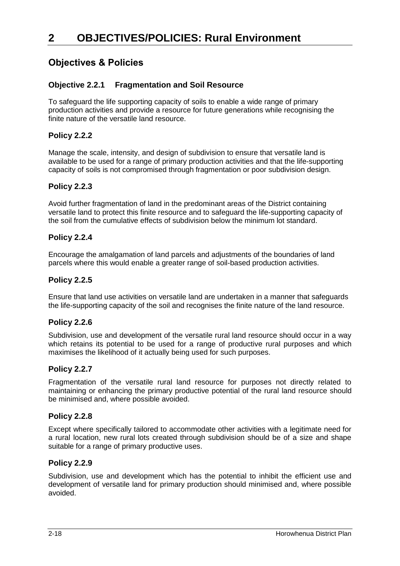# **Objectives & Policies**

# **Objective 2.2.1 Fragmentation and Soil Resource**

To safeguard the life supporting capacity of soils to enable a wide range of primary production activities and provide a resource for future generations while recognising the finite nature of the versatile land resource.

# **Policy 2.2.2**

Manage the scale, intensity, and design of subdivision to ensure that versatile land is available to be used for a range of primary production activities and that the life-supporting capacity of soils is not compromised through fragmentation or poor subdivision design.

## **Policy 2.2.3**

Avoid further fragmentation of land in the predominant areas of the District containing versatile land to protect this finite resource and to safeguard the life-supporting capacity of the soil from the cumulative effects of subdivision below the minimum lot standard.

## **Policy 2.2.4**

Encourage the amalgamation of land parcels and adjustments of the boundaries of land parcels where this would enable a greater range of soil-based production activities.

## **Policy 2.2.5**

Ensure that land use activities on versatile land are undertaken in a manner that safeguards the life-supporting capacity of the soil and recognises the finite nature of the land resource.

## **Policy 2.2.6**

Subdivision, use and development of the versatile rural land resource should occur in a way which retains its potential to be used for a range of productive rural purposes and which maximises the likelihood of it actually being used for such purposes.

## **Policy 2.2.7**

Fragmentation of the versatile rural land resource for purposes not directly related to maintaining or enhancing the primary productive potential of the rural land resource should be minimised and, where possible avoided.

## **Policy 2.2.8**

Except where specifically tailored to accommodate other activities with a legitimate need for a rural location, new rural lots created through subdivision should be of a size and shape suitable for a range of primary productive uses.

## **Policy 2.2.9**

Subdivision, use and development which has the potential to inhibit the efficient use and development of versatile land for primary production should minimised and, where possible avoided.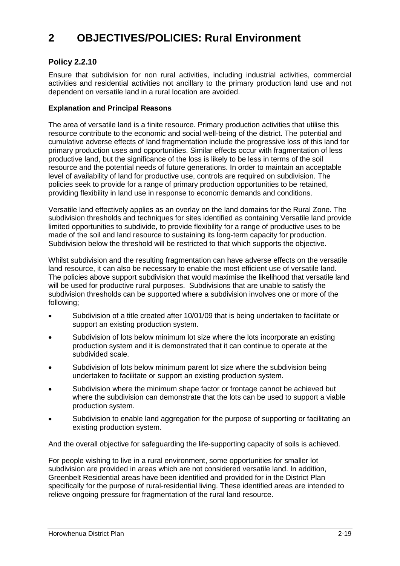# **Policy 2.2.10**

Ensure that subdivision for non rural activities, including industrial activities, commercial activities and residential activities not ancillary to the primary production land use and not dependent on versatile land in a rural location are avoided.

#### **Explanation and Principal Reasons**

The area of versatile land is a finite resource. Primary production activities that utilise this resource contribute to the economic and social well-being of the district. The potential and cumulative adverse effects of land fragmentation include the progressive loss of this land for primary production uses and opportunities. Similar effects occur with fragmentation of less productive land, but the significance of the loss is likely to be less in terms of the soil resource and the potential needs of future generations. In order to maintain an acceptable level of availability of land for productive use, controls are required on subdivision. The policies seek to provide for a range of primary production opportunities to be retained, providing flexibility in land use in response to economic demands and conditions.

Versatile land effectively applies as an overlay on the land domains for the Rural Zone. The subdivision thresholds and techniques for sites identified as containing Versatile land provide limited opportunities to subdivide, to provide flexibility for a range of productive uses to be made of the soil and land resource to sustaining its long-term capacity for production. Subdivision below the threshold will be restricted to that which supports the objective.

Whilst subdivision and the resulting fragmentation can have adverse effects on the versatile land resource, it can also be necessary to enable the most efficient use of versatile land. The policies above support subdivision that would maximise the likelihood that versatile land will be used for productive rural purposes. Subdivisions that are unable to satisfy the subdivision thresholds can be supported where a subdivision involves one or more of the following;

- Subdivision of a title created after 10/01/09 that is being undertaken to facilitate or support an existing production system.
- Subdivision of lots below minimum lot size where the lots incorporate an existing production system and it is demonstrated that it can continue to operate at the subdivided scale.
- Subdivision of lots below minimum parent lot size where the subdivision being undertaken to facilitate or support an existing production system.
- Subdivision where the minimum shape factor or frontage cannot be achieved but where the subdivision can demonstrate that the lots can be used to support a viable production system.
- Subdivision to enable land aggregation for the purpose of supporting or facilitating an existing production system.

And the overall objective for safeguarding the life-supporting capacity of soils is achieved.

For people wishing to live in a rural environment, some opportunities for smaller lot subdivision are provided in areas which are not considered versatile land. In addition, Greenbelt Residential areas have been identified and provided for in the District Plan specifically for the purpose of rural-residential living. These identified areas are intended to relieve ongoing pressure for fragmentation of the rural land resource.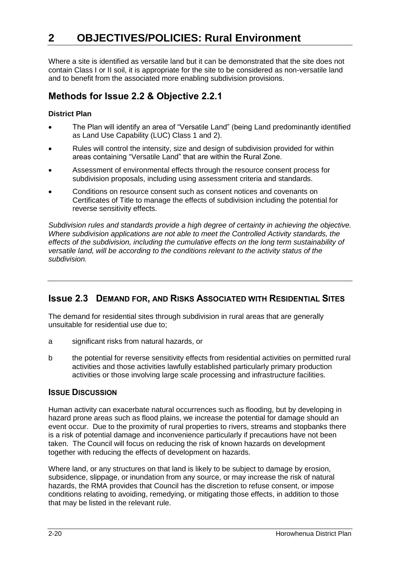Where a site is identified as versatile land but it can be demonstrated that the site does not contain Class I or II soil, it is appropriate for the site to be considered as non-versatile land and to benefit from the associated more enabling subdivision provisions.

# **Methods for Issue 2.2 & Objective 2.2.1**

## **District Plan**

- The Plan will identify an area of "Versatile Land" (being Land predominantly identified as Land Use Capability (LUC) Class 1 and 2).
- Rules will control the intensity, size and design of subdivision provided for within areas containing "Versatile Land" that are within the Rural Zone.
- Assessment of environmental effects through the resource consent process for subdivision proposals, including using assessment criteria and standards.
- Conditions on resource consent such as consent notices and covenants on Certificates of Title to manage the effects of subdivision including the potential for reverse sensitivity effects.

*Subdivision rules and standards provide a high degree of certainty in achieving the objective. Where subdivision applications are not able to meet the Controlled Activity standards, the effects of the subdivision, including the cumulative effects on the long term sustainability of versatile land, will be according to the conditions relevant to the activity status of the subdivision.*

# **Issue 2.3 DEMAND FOR, AND RISKS ASSOCIATED WITH RESIDENTIAL SITES**

The demand for residential sites through subdivision in rural areas that are generally unsuitable for residential use due to;

- a significant risks from natural hazards, or
- b the potential for reverse sensitivity effects from residential activities on permitted rural activities and those activities lawfully established particularly primary production activities or those involving large scale processing and infrastructure facilities.

## **ISSUE DISCUSSION**

Human activity can exacerbate natural occurrences such as flooding, but by developing in hazard prone areas such as flood plains, we increase the potential for damage should an event occur. Due to the proximity of rural properties to rivers, streams and stopbanks there is a risk of potential damage and inconvenience particularly if precautions have not been taken. The Council will focus on reducing the risk of known hazards on development together with reducing the effects of development on hazards.

Where land, or any structures on that land is likely to be subject to damage by erosion, subsidence, slippage, or inundation from any source, or may increase the risk of natural hazards, the RMA provides that Council has the discretion to refuse consent, or impose conditions relating to avoiding, remedying, or mitigating those effects, in addition to those that may be listed in the relevant rule.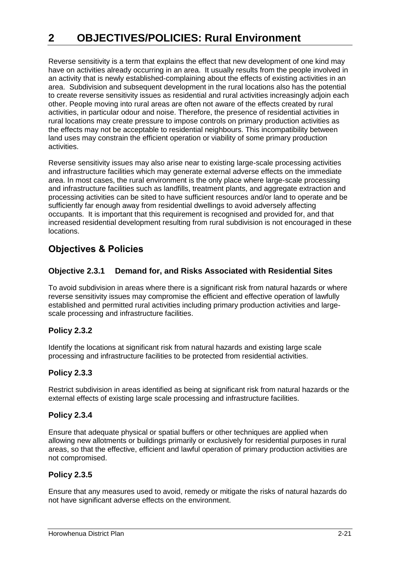Reverse sensitivity is a term that explains the effect that new development of one kind may have on activities already occurring in an area. It usually results from the people involved in an activity that is newly established-complaining about the effects of existing activities in an area. Subdivision and subsequent development in the rural locations also has the potential to create reverse sensitivity issues as residential and rural activities increasingly adjoin each other. People moving into rural areas are often not aware of the effects created by rural activities, in particular odour and noise. Therefore, the presence of residential activities in rural locations may create pressure to impose controls on primary production activities as the effects may not be acceptable to residential neighbours. This incompatibility between land uses may constrain the efficient operation or viability of some primary production activities.

Reverse sensitivity issues may also arise near to existing large-scale processing activities and infrastructure facilities which may generate external adverse effects on the immediate area. In most cases, the rural environment is the only place where large-scale processing and infrastructure facilities such as landfills, treatment plants, and aggregate extraction and processing activities can be sited to have sufficient resources and/or land to operate and be sufficiently far enough away from residential dwellings to avoid adversely affecting occupants. It is important that this requirement is recognised and provided for, and that increased residential development resulting from rural subdivision is not encouraged in these locations.

# **Objectives & Policies**

# **Objective 2.3.1 Demand for, and Risks Associated with Residential Sites**

To avoid subdivision in areas where there is a significant risk from natural hazards or where reverse sensitivity issues may compromise the efficient and effective operation of lawfully established and permitted rural activities including primary production activities and largescale processing and infrastructure facilities.

## **Policy 2.3.2**

Identify the locations at significant risk from natural hazards and existing large scale processing and infrastructure facilities to be protected from residential activities.

# **Policy 2.3.3**

Restrict subdivision in areas identified as being at significant risk from natural hazards or the external effects of existing large scale processing and infrastructure facilities.

## **Policy 2.3.4**

Ensure that adequate physical or spatial buffers or other techniques are applied when allowing new allotments or buildings primarily or exclusively for residential purposes in rural areas, so that the effective, efficient and lawful operation of primary production activities are not compromised.

## **Policy 2.3.5**

Ensure that any measures used to avoid, remedy or mitigate the risks of natural hazards do not have significant adverse effects on the environment.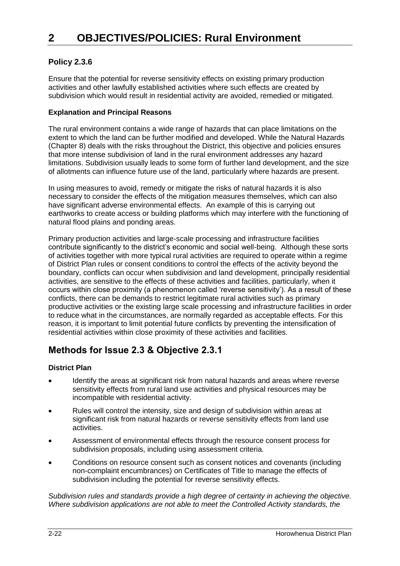# **Policy 2.3.6**

Ensure that the potential for reverse sensitivity effects on existing primary production activities and other lawfully established activities where such effects are created by subdivision which would result in residential activity are avoided, remedied or mitigated.

## **Explanation and Principal Reasons**

The rural environment contains a wide range of hazards that can place limitations on the extent to which the land can be further modified and developed. While the Natural Hazards (Chapter 8) deals with the risks throughout the District, this objective and policies ensures that more intense subdivision of land in the rural environment addresses any hazard limitations. Subdivision usually leads to some form of further land development, and the size of allotments can influence future use of the land, particularly where hazards are present.

In using measures to avoid, remedy or mitigate the risks of natural hazards it is also necessary to consider the effects of the mitigation measures themselves, which can also have significant adverse environmental effects. An example of this is carrying out earthworks to create access or building platforms which may interfere with the functioning of natural flood plains and ponding areas.

Primary production activities and large-scale processing and infrastructure facilities contribute significantly to the district's economic and social well-being. Although these sorts of activities together with more typical rural activities are required to operate within a regime of District Plan rules or consent conditions to control the effects of the activity beyond the boundary, conflicts can occur when subdivision and land development, principally residential activities, are sensitive to the effects of these activities and facilities, particularly, when it occurs within close proximity (a phenomenon called 'reverse sensitivity'). As a result of these conflicts, there can be demands to restrict legitimate rural activities such as primary productive activities or the existing large scale processing and infrastructure facilities in order to reduce what in the circumstances, are normally regarded as acceptable effects. For this reason, it is important to limit potential future conflicts by preventing the intensification of residential activities within close proximity of these activities and facilities.

# **Methods for Issue 2.3 & Objective 2.3.1**

# **District Plan**

- Identify the areas at significant risk from natural hazards and areas where reverse sensitivity effects from rural land use activities and physical resources may be incompatible with residential activity.
- Rules will control the intensity, size and design of subdivision within areas at significant risk from natural hazards or reverse sensitivity effects from land use activities.
- Assessment of environmental effects through the resource consent process for subdivision proposals, including using assessment criteria.
- Conditions on resource consent such as consent notices and covenants (including non-complaint encumbrances) on Certificates of Title to manage the effects of subdivision including the potential for reverse sensitivity effects.

*Subdivision rules and standards provide a high degree of certainty in achieving the objective. Where subdivision applications are not able to meet the Controlled Activity standards, the*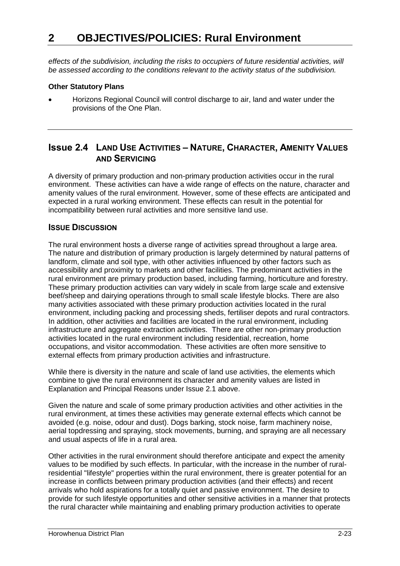*effects of the subdivision, including the risks to occupiers of future residential activities, will be assessed according to the conditions relevant to the activity status of the subdivision.*

#### **Other Statutory Plans**

 Horizons Regional Council will control discharge to air, land and water under the provisions of the One Plan.

# **Issue 2.4 LAND USE ACTIVITIES – NATURE, CHARACTER, AMENITY VALUES AND SERVICING**

A diversity of primary production and non-primary production activities occur in the rural environment. These activities can have a wide range of effects on the nature, character and amenity values of the rural environment. However, some of these effects are anticipated and expected in a rural working environment. These effects can result in the potential for incompatibility between rural activities and more sensitive land use.

## **ISSUE DISCUSSION**

The rural environment hosts a diverse range of activities spread throughout a large area. The nature and distribution of primary production is largely determined by natural patterns of landform, climate and soil type, with other activities influenced by other factors such as accessibility and proximity to markets and other facilities. The predominant activities in the rural environment are primary production based, including farming, horticulture and forestry. These primary production activities can vary widely in scale from large scale and extensive beef/sheep and dairying operations through to small scale lifestyle blocks. There are also many activities associated with these primary production activities located in the rural environment, including packing and processing sheds, fertiliser depots and rural contractors. In addition, other activities and facilities are located in the rural environment, including infrastructure and aggregate extraction activities. There are other non-primary production activities located in the rural environment including residential, recreation, home occupations, and visitor accommodation. These activities are often more sensitive to external effects from primary production activities and infrastructure.

While there is diversity in the nature and scale of land use activities, the elements which combine to give the rural environment its character and amenity values are listed in Explanation and Principal Reasons under Issue 2.1 above.

Given the nature and scale of some primary production activities and other activities in the rural environment, at times these activities may generate external effects which cannot be avoided (e.g. noise, odour and dust). Dogs barking, stock noise, farm machinery noise, aerial topdressing and spraying, stock movements, burning, and spraying are all necessary and usual aspects of life in a rural area.

Other activities in the rural environment should therefore anticipate and expect the amenity values to be modified by such effects. In particular, with the increase in the number of ruralresidential "lifestyle" properties within the rural environment, there is greater potential for an increase in conflicts between primary production activities (and their effects) and recent arrivals who hold aspirations for a totally quiet and passive environment. The desire to provide for such lifestyle opportunities and other sensitive activities in a manner that protects the rural character while maintaining and enabling primary production activities to operate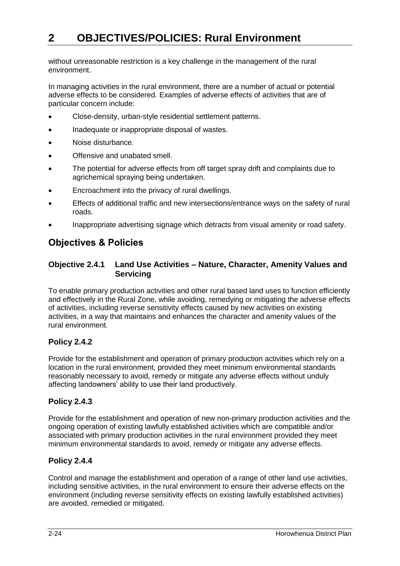without unreasonable restriction is a key challenge in the management of the rural environment.

In managing activities in the rural environment, there are a number of actual or potential adverse effects to be considered. Examples of adverse effects of activities that are of particular concern include:

- Close-density, urban-style residential settlement patterns.
- Inadequate or inappropriate disposal of wastes.
- Noise disturbance.
- Offensive and unabated smell.
- The potential for adverse effects from off target spray drift and complaints due to agrichemical spraying being undertaken.
- Encroachment into the privacy of rural dwellings.
- Effects of additional traffic and new intersections/entrance ways on the safety of rural roads.
- Inappropriate advertising signage which detracts from visual amenity or road safety.

# **Objectives & Policies**

## **Objective 2.4.1 Land Use Activities – Nature, Character, Amenity Values and Servicing**

To enable primary production activities and other rural based land uses to function efficiently and effectively in the Rural Zone, while avoiding, remedying or mitigating the adverse effects of activities, including reverse sensitivity effects caused by new activities on existing activities, in a way that maintains and enhances the character and amenity values of the rural environment.

# **Policy 2.4.2**

Provide for the establishment and operation of primary production activities which rely on a location in the rural environment, provided they meet minimum environmental standards reasonably necessary to avoid, remedy or mitigate any adverse effects without unduly affecting landowners' ability to use their land productively.

# **Policy 2.4.3**

Provide for the establishment and operation of new non-primary production activities and the ongoing operation of existing lawfully established activities which are compatible and/or associated with primary production activities in the rural environment provided they meet minimum environmental standards to avoid, remedy or mitigate any adverse effects.

## **Policy 2.4.4**

Control and manage the establishment and operation of a range of other land use activities, including sensitive activities, in the rural environment to ensure their adverse effects on the environment (including reverse sensitivity effects on existing lawfully established activities) are avoided, remedied or mitigated.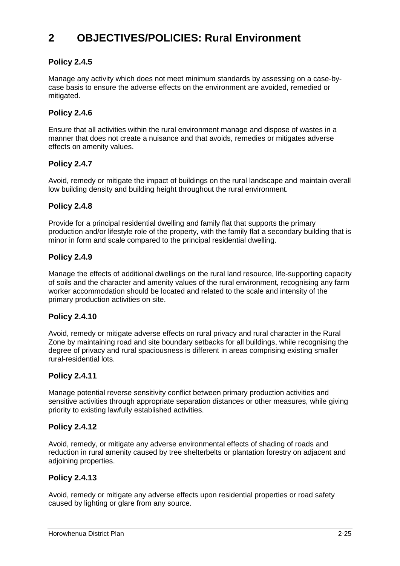# **Policy 2.4.5**

Manage any activity which does not meet minimum standards by assessing on a case-bycase basis to ensure the adverse effects on the environment are avoided, remedied or mitigated.

# **Policy 2.4.6**

Ensure that all activities within the rural environment manage and dispose of wastes in a manner that does not create a nuisance and that avoids, remedies or mitigates adverse effects on amenity values.

## **Policy 2.4.7**

Avoid, remedy or mitigate the impact of buildings on the rural landscape and maintain overall low building density and building height throughout the rural environment.

## **Policy 2.4.8**

Provide for a principal residential dwelling and family flat that supports the primary production and/or lifestyle role of the property, with the family flat a secondary building that is minor in form and scale compared to the principal residential dwelling.

#### **Policy 2.4.9**

Manage the effects of additional dwellings on the rural land resource, life-supporting capacity of soils and the character and amenity values of the rural environment, recognising any farm worker accommodation should be located and related to the scale and intensity of the primary production activities on site.

## **Policy 2.4.10**

Avoid, remedy or mitigate adverse effects on rural privacy and rural character in the Rural Zone by maintaining road and site boundary setbacks for all buildings, while recognising the degree of privacy and rural spaciousness is different in areas comprising existing smaller rural-residential lots.

## **Policy 2.4.11**

Manage potential reverse sensitivity conflict between primary production activities and sensitive activities through appropriate separation distances or other measures, while giving priority to existing lawfully established activities.

## **Policy 2.4.12**

Avoid, remedy, or mitigate any adverse environmental effects of shading of roads and reduction in rural amenity caused by tree shelterbelts or plantation forestry on adjacent and adjoining properties.

## **Policy 2.4.13**

Avoid, remedy or mitigate any adverse effects upon residential properties or road safety caused by lighting or glare from any source.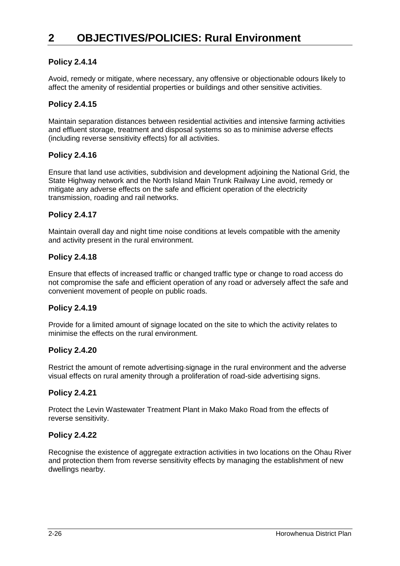## **Policy 2.4.14**

Avoid, remedy or mitigate, where necessary, any offensive or objectionable odours likely to affect the amenity of residential properties or buildings and other sensitive activities.

## **Policy 2.4.15**

Maintain separation distances between residential activities and intensive farming activities and effluent storage, treatment and disposal systems so as to minimise adverse effects (including reverse sensitivity effects) for all activities.

## **Policy 2.4.16**

Ensure that land use activities, subdivision and development adjoining the National Grid, the State Highway network and the North Island Main Trunk Railway Line avoid, remedy or mitigate any adverse effects on the safe and efficient operation of the electricity transmission, roading and rail networks.

## **Policy 2.4.17**

Maintain overall day and night time noise conditions at levels compatible with the amenity and activity present in the rural environment.

#### **Policy 2.4.18**

Ensure that effects of increased traffic or changed traffic type or change to road access do not compromise the safe and efficient operation of any road or adversely affect the safe and convenient movement of people on public roads.

## **Policy 2.4.19**

Provide for a limited amount of signage located on the site to which the activity relates to minimise the effects on the rural environment.

#### **Policy 2.4.20**

Restrict the amount of remote advertising signage in the rural environment and the adverse visual effects on rural amenity through a proliferation of road-side advertising signs.

## **Policy 2.4.21**

Protect the Levin Wastewater Treatment Plant in Mako Mako Road from the effects of reverse sensitivity.

#### **Policy 2.4.22**

Recognise the existence of aggregate extraction activities in two locations on the Ohau River and protection them from reverse sensitivity effects by managing the establishment of new dwellings nearby.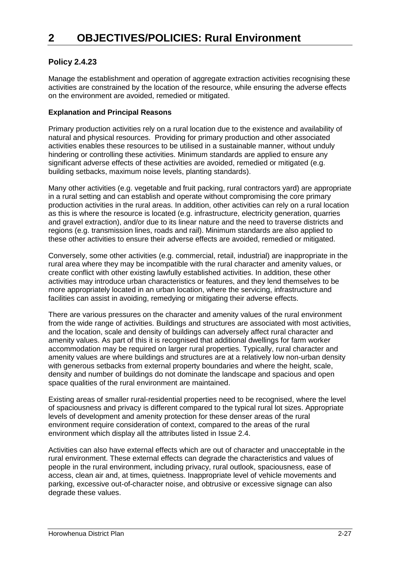# **Policy 2.4.23**

Manage the establishment and operation of aggregate extraction activities recognising these activities are constrained by the location of the resource, while ensuring the adverse effects on the environment are avoided, remedied or mitigated.

## **Explanation and Principal Reasons**

Primary production activities rely on a rural location due to the existence and availability of natural and physical resources. Providing for primary production and other associated activities enables these resources to be utilised in a sustainable manner, without unduly hindering or controlling these activities. Minimum standards are applied to ensure any significant adverse effects of these activities are avoided, remedied or mitigated (e.g. building setbacks, maximum noise levels, planting standards).

Many other activities (e.g. vegetable and fruit packing, rural contractors yard) are appropriate in a rural setting and can establish and operate without compromising the core primary production activities in the rural areas. In addition, other activities can rely on a rural location as this is where the resource is located (e.g. infrastructure, electricity generation, quarries and gravel extraction), and/or due to its linear nature and the need to traverse districts and regions (e.g. transmission lines, roads and rail). Minimum standards are also applied to these other activities to ensure their adverse effects are avoided, remedied or mitigated.

Conversely, some other activities (e.g. commercial, retail, industrial) are inappropriate in the rural area where they may be incompatible with the rural character and amenity values, or create conflict with other existing lawfully established activities. In addition, these other activities may introduce urban characteristics or features, and they lend themselves to be more appropriately located in an urban location, where the servicing, infrastructure and facilities can assist in avoiding, remedying or mitigating their adverse effects.

There are various pressures on the character and amenity values of the rural environment from the wide range of activities. Buildings and structures are associated with most activities, and the location, scale and density of buildings can adversely affect rural character and amenity values. As part of this it is recognised that additional dwellings for farm worker accommodation may be required on larger rural properties. Typically, rural character and amenity values are where buildings and structures are at a relatively low non-urban density with generous setbacks from external property boundaries and where the height, scale, density and number of buildings do not dominate the landscape and spacious and open space qualities of the rural environment are maintained.

Existing areas of smaller rural-residential properties need to be recognised, where the level of spaciousness and privacy is different compared to the typical rural lot sizes. Appropriate levels of development and amenity protection for these denser areas of the rural environment require consideration of context, compared to the areas of the rural environment which display all the attributes listed in Issue 2.4.

Activities can also have external effects which are out of character and unacceptable in the rural environment. These external effects can degrade the characteristics and values of people in the rural environment, including privacy, rural outlook, spaciousness, ease of access, clean air and, at times, quietness. Inappropriate level of vehicle movements and parking, excessive out-of-character noise, and obtrusive or excessive signage can also degrade these values.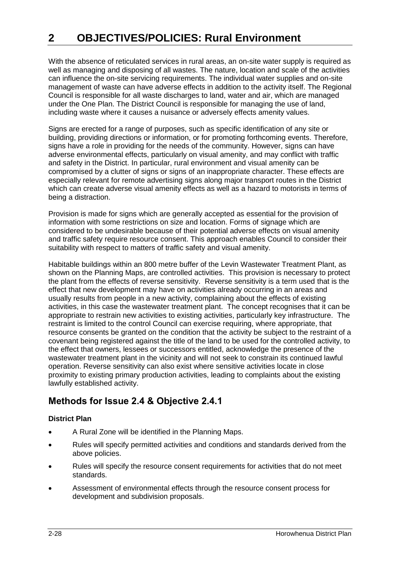With the absence of reticulated services in rural areas, an on-site water supply is required as well as managing and disposing of all wastes. The nature, location and scale of the activities can influence the on-site servicing requirements. The individual water supplies and on-site management of waste can have adverse effects in addition to the activity itself. The Regional Council is responsible for all waste discharges to land, water and air, which are managed under the One Plan. The District Council is responsible for managing the use of land, including waste where it causes a nuisance or adversely effects amenity values.

Signs are erected for a range of purposes, such as specific identification of any site or building, providing directions or information, or for promoting forthcoming events. Therefore, signs have a role in providing for the needs of the community. However, signs can have adverse environmental effects, particularly on visual amenity, and may conflict with traffic and safety in the District. In particular, rural environment and visual amenity can be compromised by a clutter of signs or signs of an inappropriate character. These effects are especially relevant for remote advertising signs along major transport routes in the District which can create adverse visual amenity effects as well as a hazard to motorists in terms of being a distraction.

Provision is made for signs which are generally accepted as essential for the provision of information with some restrictions on size and location. Forms of signage which are considered to be undesirable because of their potential adverse effects on visual amenity and traffic safety require resource consent. This approach enables Council to consider their suitability with respect to matters of traffic safety and visual amenity.

Habitable buildings within an 800 metre buffer of the Levin Wastewater Treatment Plant, as shown on the Planning Maps, are controlled activities. This provision is necessary to protect the plant from the effects of reverse sensitivity. Reverse sensitivity is a term used that is the effect that new development may have on activities already occurring in an areas and usually results from people in a new activity, complaining about the effects of existing activities, in this case the wastewater treatment plant. The concept recognises that it can be appropriate to restrain new activities to existing activities, particularly key infrastructure. The restraint is limited to the control Council can exercise requiring, where appropriate, that resource consents be granted on the condition that the activity be subject to the restraint of a covenant being registered against the title of the land to be used for the controlled activity, to the effect that owners, lessees or successors entitled, acknowledge the presence of the wastewater treatment plant in the vicinity and will not seek to constrain its continued lawful operation. Reverse sensitivity can also exist where sensitive activities locate in close proximity to existing primary production activities, leading to complaints about the existing lawfully established activity.

# **Methods for Issue 2.4 & Objective 2.4.1**

## **District Plan**

- A Rural Zone will be identified in the Planning Maps.
- Rules will specify permitted activities and conditions and standards derived from the above policies.
- Rules will specify the resource consent requirements for activities that do not meet standards.
- Assessment of environmental effects through the resource consent process for development and subdivision proposals.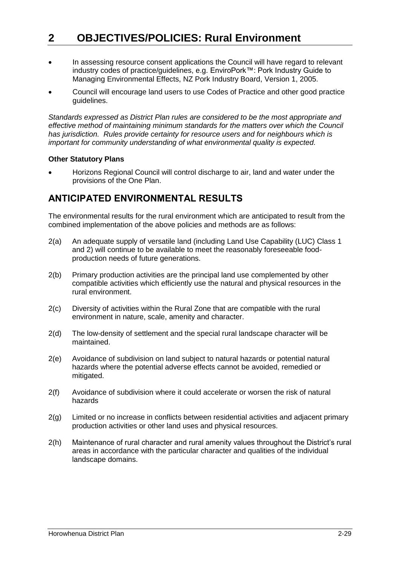- In assessing resource consent applications the Council will have regard to relevant industry codes of practice/guidelines, e.g. EnviroPork™: Pork Industry Guide to Managing Environmental Effects, NZ Pork Industry Board, Version 1, 2005.
- Council will encourage land users to use Codes of Practice and other good practice guidelines.

*Standards expressed as District Plan rules are considered to be the most appropriate and effective method of maintaining minimum standards for the matters over which the Council has jurisdiction. Rules provide certainty for resource users and for neighbours which is important for community understanding of what environmental quality is expected.*

#### **Other Statutory Plans**

 Horizons Regional Council will control discharge to air, land and water under the provisions of the One Plan.

# **ANTICIPATED ENVIRONMENTAL RESULTS**

The environmental results for the rural environment which are anticipated to result from the combined implementation of the above policies and methods are as follows:

- 2(a) An adequate supply of versatile land (including Land Use Capability (LUC) Class 1 and 2) will continue to be available to meet the reasonably foreseeable foodproduction needs of future generations.
- 2(b) Primary production activities are the principal land use complemented by other compatible activities which efficiently use the natural and physical resources in the rural environment.
- 2(c) Diversity of activities within the Rural Zone that are compatible with the rural environment in nature, scale, amenity and character.
- 2(d) The low-density of settlement and the special rural landscape character will be maintained.
- 2(e) Avoidance of subdivision on land subject to natural hazards or potential natural hazards where the potential adverse effects cannot be avoided, remedied or mitigated.
- 2(f) Avoidance of subdivision where it could accelerate or worsen the risk of natural hazards
- 2(g) Limited or no increase in conflicts between residential activities and adjacent primary production activities or other land uses and physical resources.
- 2(h) Maintenance of rural character and rural amenity values throughout the District's rural areas in accordance with the particular character and qualities of the individual landscape domains.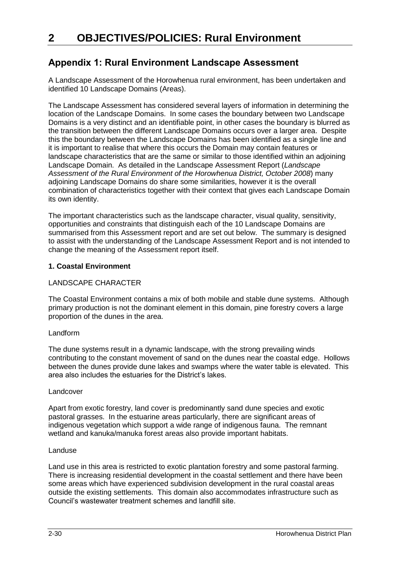# **Appendix 1: Rural Environment Landscape Assessment**

A Landscape Assessment of the Horowhenua rural environment, has been undertaken and identified 10 Landscape Domains (Areas).

The Landscape Assessment has considered several layers of information in determining the location of the Landscape Domains. In some cases the boundary between two Landscape Domains is a very distinct and an identifiable point, in other cases the boundary is blurred as the transition between the different Landscape Domains occurs over a larger area. Despite this the boundary between the Landscape Domains has been identified as a single line and it is important to realise that where this occurs the Domain may contain features or landscape characteristics that are the same or similar to those identified within an adjoining Landscape Domain. As detailed in the Landscape Assessment Report (*Landscape Assessment of the Rural Environment of the Horowhenua District, October 2008*) many adjoining Landscape Domains do share some similarities, however it is the overall combination of characteristics together with their context that gives each Landscape Domain its own identity.

The important characteristics such as the landscape character, visual quality, sensitivity, opportunities and constraints that distinguish each of the 10 Landscape Domains are summarised from this Assessment report and are set out below. The summary is designed to assist with the understanding of the Landscape Assessment Report and is not intended to change the meaning of the Assessment report itself.

#### **1. Coastal Environment**

#### LANDSCAPE CHARACTER

The Coastal Environment contains a mix of both mobile and stable dune systems. Although primary production is not the dominant element in this domain, pine forestry covers a large proportion of the dunes in the area.

#### Landform

The dune systems result in a dynamic landscape, with the strong prevailing winds contributing to the constant movement of sand on the dunes near the coastal edge. Hollows between the dunes provide dune lakes and swamps where the water table is elevated. This area also includes the estuaries for the District's lakes.

#### Landcover

Apart from exotic forestry, land cover is predominantly sand dune species and exotic pastoral grasses. In the estuarine areas particularly, there are significant areas of indigenous vegetation which support a wide range of indigenous fauna. The remnant wetland and kanuka/manuka forest areas also provide important habitats.

#### Landuse

Land use in this area is restricted to exotic plantation forestry and some pastoral farming. There is increasing residential development in the coastal settlement and there have been some areas which have experienced subdivision development in the rural coastal areas outside the existing settlements. This domain also accommodates infrastructure such as Council's wastewater treatment schemes and landfill site.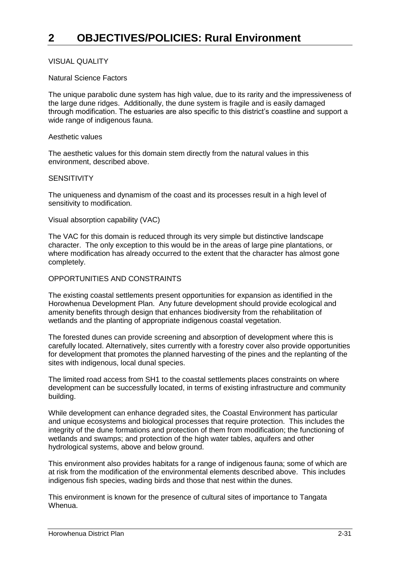#### VISUAL QUALITY

#### Natural Science Factors

The unique parabolic dune system has high value, due to its rarity and the impressiveness of the large dune ridges. Additionally, the dune system is fragile and is easily damaged through modification. The estuaries are also specific to this district's coastline and support a wide range of indigenous fauna.

#### Aesthetic values

The aesthetic values for this domain stem directly from the natural values in this environment, described above.

#### **SENSITIVITY**

The uniqueness and dynamism of the coast and its processes result in a high level of sensitivity to modification.

#### Visual absorption capability (VAC)

The VAC for this domain is reduced through its very simple but distinctive landscape character. The only exception to this would be in the areas of large pine plantations, or where modification has already occurred to the extent that the character has almost gone completely.

#### OPPORTUNITIES AND CONSTRAINTS

The existing coastal settlements present opportunities for expansion as identified in the Horowhenua Development Plan. Any future development should provide ecological and amenity benefits through design that enhances biodiversity from the rehabilitation of wetlands and the planting of appropriate indigenous coastal vegetation.

The forested dunes can provide screening and absorption of development where this is carefully located. Alternatively, sites currently with a forestry cover also provide opportunities for development that promotes the planned harvesting of the pines and the replanting of the sites with indigenous, local dunal species.

The limited road access from SH1 to the coastal settlements places constraints on where development can be successfully located, in terms of existing infrastructure and community building.

While development can enhance degraded sites, the Coastal Environment has particular and unique ecosystems and biological processes that require protection. This includes the integrity of the dune formations and protection of them from modification; the functioning of wetlands and swamps; and protection of the high water tables, aquifers and other hydrological systems, above and below ground.

This environment also provides habitats for a range of indigenous fauna; some of which are at risk from the modification of the environmental elements described above. This includes indigenous fish species, wading birds and those that nest within the dunes.

This environment is known for the presence of cultural sites of importance to Tangata Whenua.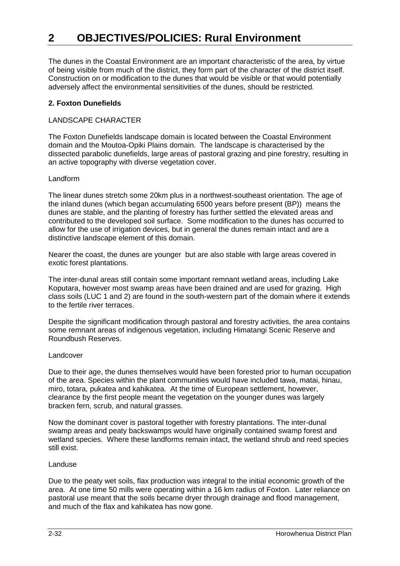The dunes in the Coastal Environment are an important characteristic of the area, by virtue of being visible from much of the district, they form part of the character of the district itself. Construction on or modification to the dunes that would be visible or that would potentially adversely affect the environmental sensitivities of the dunes, should be restricted.

#### **2. Foxton Dunefields**

#### LANDSCAPE CHARACTER

The Foxton Dunefields landscape domain is located between the Coastal Environment domain and the Moutoa-Opiki Plains domain. The landscape is characterised by the dissected parabolic dunefields, large areas of pastoral grazing and pine forestry, resulting in an active topography with diverse vegetation cover.

#### Landform

The linear dunes stretch some 20km plus in a northwest-southeast orientation. The age of the inland dunes (which began accumulating 6500 years before present (BP)) means the dunes are stable, and the planting of forestry has further settled the elevated areas and contributed to the developed soil surface. Some modification to the dunes has occurred to allow for the use of irrigation devices, but in general the dunes remain intact and are a distinctive landscape element of this domain.

Nearer the coast, the dunes are younger but are also stable with large areas covered in exotic forest plantations.

The inter-dunal areas still contain some important remnant wetland areas, including Lake Koputara, however most swamp areas have been drained and are used for grazing. High class soils (LUC 1 and 2) are found in the south-western part of the domain where it extends to the fertile river terraces.

Despite the significant modification through pastoral and forestry activities, the area contains some remnant areas of indigenous vegetation, including Himatangi Scenic Reserve and Roundbush Reserves.

#### Landcover

Due to their age, the dunes themselves would have been forested prior to human occupation of the area. Species within the plant communities would have included tawa, matai, hinau, miro, totara, pukatea and kahikatea. At the time of European settlement, however, clearance by the first people meant the vegetation on the younger dunes was largely bracken fern, scrub, and natural grasses.

Now the dominant cover is pastoral together with forestry plantations. The inter-dunal swamp areas and peaty backswamps would have originally contained swamp forest and wetland species. Where these landforms remain intact, the wetland shrub and reed species still exist.

#### Landuse

Due to the peaty wet soils, flax production was integral to the initial economic growth of the area. At one time 50 mills were operating within a 16 km radius of Foxton. Later reliance on pastoral use meant that the soils became dryer through drainage and flood management, and much of the flax and kahikatea has now gone.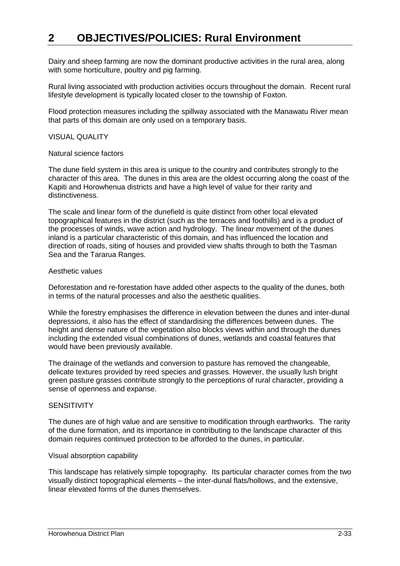Dairy and sheep farming are now the dominant productive activities in the rural area, along with some horticulture, poultry and pig farming.

Rural living associated with production activities occurs throughout the domain. Recent rural lifestyle development is typically located closer to the township of Foxton.

Flood protection measures including the spillway associated with the Manawatu River mean that parts of this domain are only used on a temporary basis.

#### VISUAL QUALITY

#### Natural science factors

The dune field system in this area is unique to the country and contributes strongly to the character of this area. The dunes in this area are the oldest occurring along the coast of the Kapiti and Horowhenua districts and have a high level of value for their rarity and distinctiveness.

The scale and linear form of the dunefield is quite distinct from other local elevated topographical features in the district (such as the terraces and foothills) and is a product of the processes of winds, wave action and hydrology. The linear movement of the dunes inland is a particular characteristic of this domain, and has influenced the location and direction of roads, siting of houses and provided view shafts through to both the Tasman Sea and the Tararua Ranges.

#### Aesthetic values

Deforestation and re-forestation have added other aspects to the quality of the dunes, both in terms of the natural processes and also the aesthetic qualities.

While the forestry emphasises the difference in elevation between the dunes and inter-dunal depressions, it also has the effect of standardising the differences between dunes. The height and dense nature of the vegetation also blocks views within and through the dunes including the extended visual combinations of dunes, wetlands and coastal features that would have been previously available.

The drainage of the wetlands and conversion to pasture has removed the changeable, delicate textures provided by reed species and grasses. However, the usually lush bright green pasture grasses contribute strongly to the perceptions of rural character, providing a sense of openness and expanse.

#### **SENSITIVITY**

The dunes are of high value and are sensitive to modification through earthworks. The rarity of the dune formation, and its importance in contributing to the landscape character of this domain requires continued protection to be afforded to the dunes, in particular.

#### Visual absorption capability

This landscape has relatively simple topography. Its particular character comes from the two visually distinct topographical elements – the inter-dunal flats/hollows, and the extensive, linear elevated forms of the dunes themselves.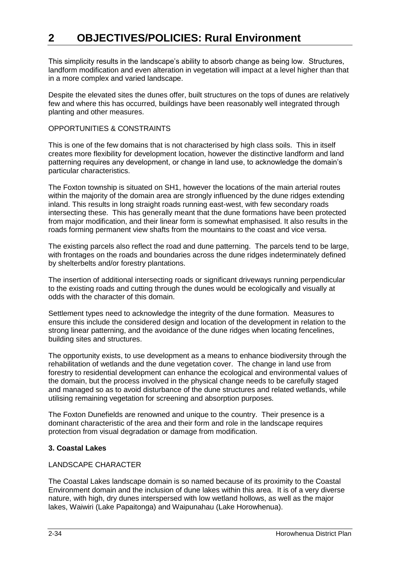This simplicity results in the landscape's ability to absorb change as being low. Structures, landform modification and even alteration in vegetation will impact at a level higher than that in a more complex and varied landscape.

Despite the elevated sites the dunes offer, built structures on the tops of dunes are relatively few and where this has occurred, buildings have been reasonably well integrated through planting and other measures.

#### OPPORTUNITIES & CONSTRAINTS

This is one of the few domains that is not characterised by high class soils. This in itself creates more flexibility for development location, however the distinctive landform and land patterning requires any development, or change in land use, to acknowledge the domain's particular characteristics.

The Foxton township is situated on SH1, however the locations of the main arterial routes within the majority of the domain area are strongly influenced by the dune ridges extending inland. This results in long straight roads running east-west, with few secondary roads intersecting these. This has generally meant that the dune formations have been protected from major modification, and their linear form is somewhat emphasised. It also results in the roads forming permanent view shafts from the mountains to the coast and vice versa.

The existing parcels also reflect the road and dune patterning. The parcels tend to be large, with frontages on the roads and boundaries across the dune ridges indeterminately defined by shelterbelts and/or forestry plantations.

The insertion of additional intersecting roads or significant driveways running perpendicular to the existing roads and cutting through the dunes would be ecologically and visually at odds with the character of this domain.

Settlement types need to acknowledge the integrity of the dune formation. Measures to ensure this include the considered design and location of the development in relation to the strong linear patterning, and the avoidance of the dune ridges when locating fencelines, building sites and structures.

The opportunity exists, to use development as a means to enhance biodiversity through the rehabilitation of wetlands and the dune vegetation cover. The change in land use from forestry to residential development can enhance the ecological and environmental values of the domain, but the process involved in the physical change needs to be carefully staged and managed so as to avoid disturbance of the dune structures and related wetlands, while utilising remaining vegetation for screening and absorption purposes.

The Foxton Dunefields are renowned and unique to the country. Their presence is a dominant characteristic of the area and their form and role in the landscape requires protection from visual degradation or damage from modification.

#### **3. Coastal Lakes**

#### LANDSCAPE CHARACTER

The Coastal Lakes landscape domain is so named because of its proximity to the Coastal Environment domain and the inclusion of dune lakes within this area. It is of a very diverse nature, with high, dry dunes interspersed with low wetland hollows, as well as the major lakes, Waiwiri (Lake Papaitonga) and Waipunahau (Lake Horowhenua).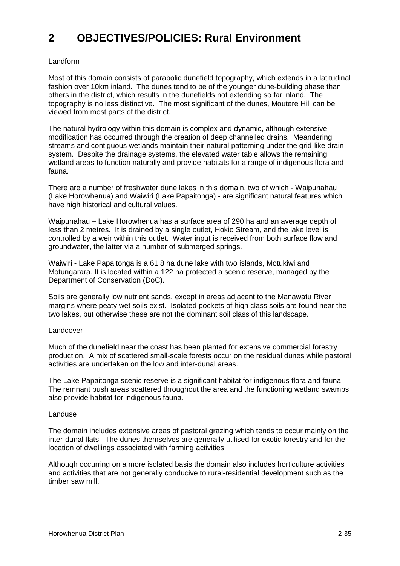#### Landform

Most of this domain consists of parabolic dunefield topography, which extends in a latitudinal fashion over 10km inland. The dunes tend to be of the younger dune-building phase than others in the district, which results in the dunefields not extending so far inland. The topography is no less distinctive. The most significant of the dunes, Moutere Hill can be viewed from most parts of the district.

The natural hydrology within this domain is complex and dynamic, although extensive modification has occurred through the creation of deep channelled drains. Meandering streams and contiguous wetlands maintain their natural patterning under the grid-like drain system. Despite the drainage systems, the elevated water table allows the remaining wetland areas to function naturally and provide habitats for a range of indigenous flora and fauna.

There are a number of freshwater dune lakes in this domain, two of which - Waipunahau (Lake Horowhenua) and Waiwiri (Lake Papaitonga) - are significant natural features which have high historical and cultural values.

Waipunahau – Lake Horowhenua has a surface area of 290 ha and an average depth of less than 2 metres. It is drained by a single outlet, Hokio Stream, and the lake level is controlled by a weir within this outlet. Water input is received from both surface flow and groundwater, the latter via a number of submerged springs.

Waiwiri - Lake Papaitonga is a 61.8 ha dune lake with two islands, Motukiwi and Motungarara. It is located within a 122 ha protected a scenic reserve, managed by the Department of Conservation (DoC).

Soils are generally low nutrient sands, except in areas adjacent to the Manawatu River margins where peaty wet soils exist. Isolated pockets of high class soils are found near the two lakes, but otherwise these are not the dominant soil class of this landscape.

#### Landcover

Much of the dunefield near the coast has been planted for extensive commercial forestry production. A mix of scattered small-scale forests occur on the residual dunes while pastoral activities are undertaken on the low and inter-dunal areas.

The Lake Papaitonga scenic reserve is a significant habitat for indigenous flora and fauna. The remnant bush areas scattered throughout the area and the functioning wetland swamps also provide habitat for indigenous fauna.

#### Landuse

The domain includes extensive areas of pastoral grazing which tends to occur mainly on the inter-dunal flats. The dunes themselves are generally utilised for exotic forestry and for the location of dwellings associated with farming activities.

Although occurring on a more isolated basis the domain also includes horticulture activities and activities that are not generally conducive to rural-residential development such as the timber saw mill.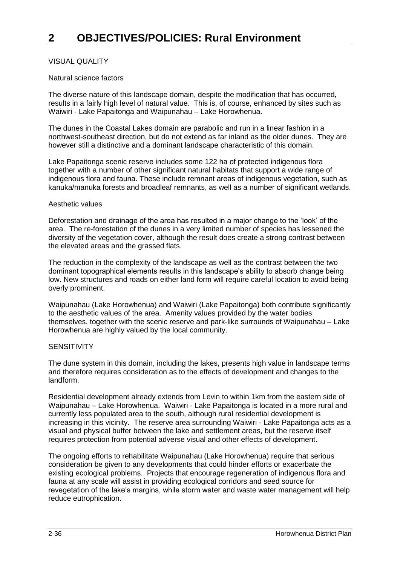#### VISUAL QUALITY

#### Natural science factors

The diverse nature of this landscape domain, despite the modification that has occurred, results in a fairly high level of natural value. This is, of course, enhanced by sites such as Waiwiri - Lake Papaitonga and Waipunahau – Lake Horowhenua.

The dunes in the Coastal Lakes domain are parabolic and run in a linear fashion in a northwest-southeast direction, but do not extend as far inland as the older dunes. They are however still a distinctive and a dominant landscape characteristic of this domain.

Lake Papaitonga scenic reserve includes some 122 ha of protected indigenous flora together with a number of other significant natural habitats that support a wide range of indigenous flora and fauna. These include remnant areas of indigenous vegetation, such as kanuka/manuka forests and broadleaf remnants, as well as a number of significant wetlands.

#### Aesthetic values

Deforestation and drainage of the area has resulted in a major change to the 'look' of the area. The re-forestation of the dunes in a very limited number of species has lessened the diversity of the vegetation cover, although the result does create a strong contrast between the elevated areas and the grassed flats.

The reduction in the complexity of the landscape as well as the contrast between the two dominant topographical elements results in this landscape's ability to absorb change being low. New structures and roads on either land form will require careful location to avoid being overly prominent.

Waipunahau (Lake Horowhenua) and Waiwiri (Lake Papaitonga) both contribute significantly to the aesthetic values of the area. Amenity values provided by the water bodies themselves, together with the scenic reserve and park-like surrounds of Waipunahau – Lake Horowhenua are highly valued by the local community.

#### **SENSITIVITY**

The dune system in this domain, including the lakes, presents high value in landscape terms and therefore requires consideration as to the effects of development and changes to the landform.

Residential development already extends from Levin to within 1km from the eastern side of Waipunahau – Lake Horowhenua. Waiwiri - Lake Papaitonga is located in a more rural and currently less populated area to the south, although rural residential development is increasing in this vicinity. The reserve area surrounding Waiwiri - Lake Papaitonga acts as a visual and physical buffer between the lake and settlement areas, but the reserve itself requires protection from potential adverse visual and other effects of development.

The ongoing efforts to rehabilitate Waipunahau (Lake Horowhenua) require that serious consideration be given to any developments that could hinder efforts or exacerbate the existing ecological problems. Projects that encourage regeneration of indigenous flora and fauna at any scale will assist in providing ecological corridors and seed source for revegetation of the lake's margins, while storm water and waste water management will help reduce eutrophication.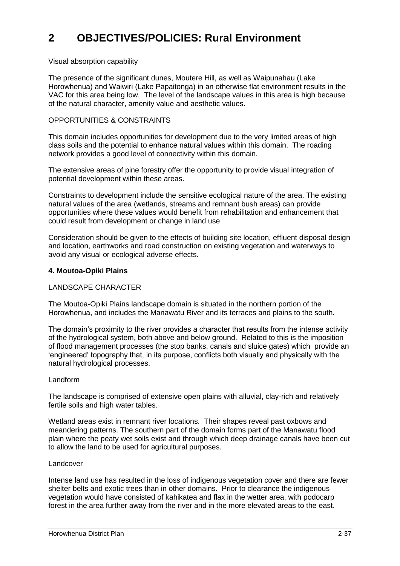#### Visual absorption capability

The presence of the significant dunes, Moutere Hill, as well as Waipunahau (Lake Horowhenua) and Waiwiri (Lake Papaitonga) in an otherwise flat environment results in the VAC for this area being low. The level of the landscape values in this area is high because of the natural character, amenity value and aesthetic values.

#### OPPORTUNITIES & CONSTRAINTS

This domain includes opportunities for development due to the very limited areas of high class soils and the potential to enhance natural values within this domain. The roading network provides a good level of connectivity within this domain.

The extensive areas of pine forestry offer the opportunity to provide visual integration of potential development within these areas.

Constraints to development include the sensitive ecological nature of the area. The existing natural values of the area (wetlands, streams and remnant bush areas) can provide opportunities where these values would benefit from rehabilitation and enhancement that could result from development or change in land use

Consideration should be given to the effects of building site location, effluent disposal design and location, earthworks and road construction on existing vegetation and waterways to avoid any visual or ecological adverse effects.

#### **4. Moutoa-Opiki Plains**

#### LANDSCAPE CHARACTER

The Moutoa-Opiki Plains landscape domain is situated in the northern portion of the Horowhenua, and includes the Manawatu River and its terraces and plains to the south.

The domain's proximity to the river provides a character that results from the intense activity of the hydrological system, both above and below ground. Related to this is the imposition of flood management processes (the stop banks, canals and sluice gates) which provide an 'engineered' topography that, in its purpose, conflicts both visually and physically with the natural hydrological processes.

#### Landform

The landscape is comprised of extensive open plains with alluvial, clay-rich and relatively fertile soils and high water tables.

Wetland areas exist in remnant river locations. Their shapes reveal past oxbows and meandering patterns. The southern part of the domain forms part of the Manawatu flood plain where the peaty wet soils exist and through which deep drainage canals have been cut to allow the land to be used for agricultural purposes.

#### Landcover

Intense land use has resulted in the loss of indigenous vegetation cover and there are fewer shelter belts and exotic trees than in other domains. Prior to clearance the indigenous vegetation would have consisted of kahikatea and flax in the wetter area, with podocarp forest in the area further away from the river and in the more elevated areas to the east.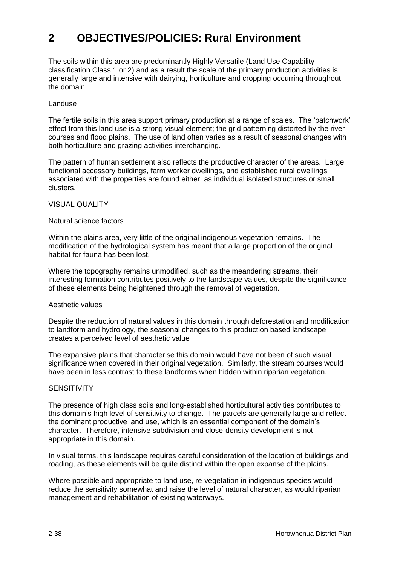The soils within this area are predominantly Highly Versatile (Land Use Capability classification Class 1 or 2) and as a result the scale of the primary production activities is generally large and intensive with dairying, horticulture and cropping occurring throughout the domain.

#### Landuse

The fertile soils in this area support primary production at a range of scales. The 'patchwork' effect from this land use is a strong visual element; the grid patterning distorted by the river courses and flood plains. The use of land often varies as a result of seasonal changes with both horticulture and grazing activities interchanging.

The pattern of human settlement also reflects the productive character of the areas. Large functional accessory buildings, farm worker dwellings, and established rural dwellings associated with the properties are found either, as individual isolated structures or small clusters.

#### VISUAL QUALITY

#### Natural science factors

Within the plains area, very little of the original indigenous vegetation remains. The modification of the hydrological system has meant that a large proportion of the original habitat for fauna has been lost.

Where the topography remains unmodified, such as the meandering streams, their interesting formation contributes positively to the landscape values, despite the significance of these elements being heightened through the removal of vegetation.

#### Aesthetic values

Despite the reduction of natural values in this domain through deforestation and modification to landform and hydrology, the seasonal changes to this production based landscape creates a perceived level of aesthetic value

The expansive plains that characterise this domain would have not been of such visual significance when covered in their original vegetation. Similarly, the stream courses would have been in less contrast to these landforms when hidden within riparian vegetation.

#### **SENSITIVITY**

The presence of high class soils and long-established horticultural activities contributes to this domain's high level of sensitivity to change. The parcels are generally large and reflect the dominant productive land use, which is an essential component of the domain's character. Therefore, intensive subdivision and close-density development is not appropriate in this domain.

In visual terms, this landscape requires careful consideration of the location of buildings and roading, as these elements will be quite distinct within the open expanse of the plains.

Where possible and appropriate to land use, re-vegetation in indigenous species would reduce the sensitivity somewhat and raise the level of natural character, as would riparian management and rehabilitation of existing waterways.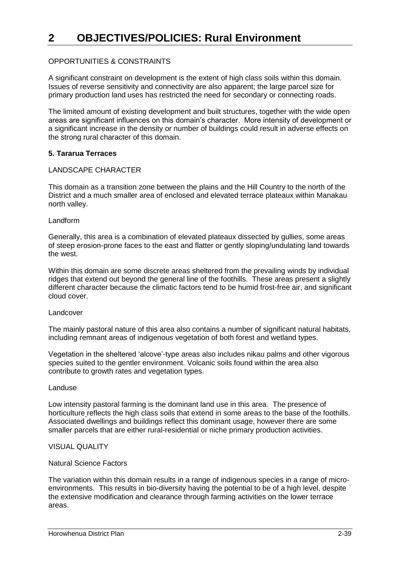#### OPPORTUNITIES & CONSTRAINTS

A significant constraint on development is the extent of high class soils within this domain. Issues of reverse sensitivity and connectivity are also apparent; the large parcel size for primary production land uses has restricted the need for secondary or connecting roads.

The limited amount of existing development and built structures, together with the wide open areas are significant influences on this domain's character. More intensity of development or a significant increase in the density or number of buildings could result in adverse effects on the strong rural character of this domain.

#### **5. Tararua Terraces**

#### LANDSCAPE CHARACTER

This domain as a transition zone between the plains and the Hill Country to the north of the District and a much smaller area of enclosed and elevated terrace plateaux within Manakau north valley.

#### Landform

Generally, this area is a combination of elevated plateaux dissected by gullies, some areas of steep erosion-prone faces to the east and flatter or gently sloping/undulating land towards the west.

Within this domain are some discrete areas sheltered from the prevailing winds by individual ridges that extend out beyond the general line of the foothills. These areas present a slightly different character because the climatic factors tend to be humid frost-free air, and significant cloud cover.

#### Landcover

The mainly pastoral nature of this area also contains a number of significant natural habitats, including remnant areas of indigenous vegetation of both forest and wetland types.

Vegetation in the sheltered 'alcove'-type areas also includes nikau palms and other vigorous species suited to the gentler environment. Volcanic soils found within the area also contribute to growth rates and vegetation types.

#### Landuse

Low intensity pastoral farming is the dominant land use in this area. The presence of horticulture reflects the high class soils that extend in some areas to the base of the foothills. Associated dwellings and buildings reflect this dominant usage, however there are some smaller parcels that are either rural-residential or niche primary production activities.

#### VISUAL QUALITY

#### Natural Science Factors

The variation within this domain results in a range of indigenous species in a range of microenvironments. This results in bio-diversity having the potential to be of a high level, despite the extensive modification and clearance through farming activities on the lower terrace areas.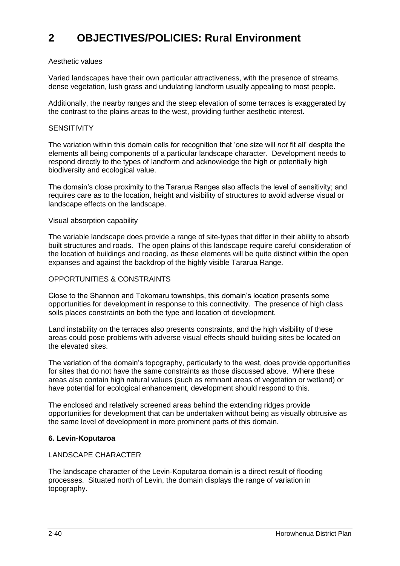#### Aesthetic values

Varied landscapes have their own particular attractiveness, with the presence of streams, dense vegetation, lush grass and undulating landform usually appealing to most people.

Additionally, the nearby ranges and the steep elevation of some terraces is exaggerated by the contrast to the plains areas to the west, providing further aesthetic interest.

# **SENSITIVITY**

The variation within this domain calls for recognition that 'one size will *not* fit all' despite the elements all being components of a particular landscape character. Development needs to respond directly to the types of landform and acknowledge the high or potentially high biodiversity and ecological value.

The domain's close proximity to the Tararua Ranges also affects the level of sensitivity; and requires care as to the location, height and visibility of structures to avoid adverse visual or landscape effects on the landscape.

#### Visual absorption capability

The variable landscape does provide a range of site-types that differ in their ability to absorb built structures and roads. The open plains of this landscape require careful consideration of the location of buildings and roading, as these elements will be quite distinct within the open expanses and against the backdrop of the highly visible Tararua Range.

#### OPPORTUNITIES & CONSTRAINTS

Close to the Shannon and Tokomaru townships, this domain's location presents some opportunities for development in response to this connectivity. The presence of high class soils places constraints on both the type and location of development.

Land instability on the terraces also presents constraints, and the high visibility of these areas could pose problems with adverse visual effects should building sites be located on the elevated sites.

The variation of the domain's topography, particularly to the west, does provide opportunities for sites that do not have the same constraints as those discussed above. Where these areas also contain high natural values (such as remnant areas of vegetation or wetland) or have potential for ecological enhancement, development should respond to this.

The enclosed and relatively screened areas behind the extending ridges provide opportunities for development that can be undertaken without being as visually obtrusive as the same level of development in more prominent parts of this domain.

#### **6. Levin-Koputaroa**

#### LANDSCAPE CHARACTER

The landscape character of the Levin-Koputaroa domain is a direct result of flooding processes. Situated north of Levin, the domain displays the range of variation in topography.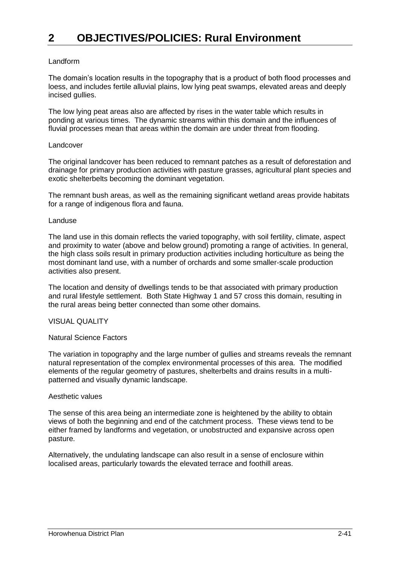#### Landform

The domain's location results in the topography that is a product of both flood processes and loess, and includes fertile alluvial plains, low lying peat swamps, elevated areas and deeply incised gullies.

The low lying peat areas also are affected by rises in the water table which results in ponding at various times. The dynamic streams within this domain and the influences of fluvial processes mean that areas within the domain are under threat from flooding.

#### Landcover

The original landcover has been reduced to remnant patches as a result of deforestation and drainage for primary production activities with pasture grasses, agricultural plant species and exotic shelterbelts becoming the dominant vegetation.

The remnant bush areas, as well as the remaining significant wetland areas provide habitats for a range of indigenous flora and fauna.

#### Landuse

The land use in this domain reflects the varied topography, with soil fertility, climate, aspect and proximity to water (above and below ground) promoting a range of activities. In general, the high class soils result in primary production activities including horticulture as being the most dominant land use, with a number of orchards and some smaller-scale production activities also present.

The location and density of dwellings tends to be that associated with primary production and rural lifestyle settlement. Both State Highway 1 and 57 cross this domain, resulting in the rural areas being better connected than some other domains.

#### VISUAL QUALITY

#### Natural Science Factors

The variation in topography and the large number of gullies and streams reveals the remnant natural representation of the complex environmental processes of this area. The modified elements of the regular geometry of pastures, shelterbelts and drains results in a multipatterned and visually dynamic landscape.

#### Aesthetic values

The sense of this area being an intermediate zone is heightened by the ability to obtain views of both the beginning and end of the catchment process. These views tend to be either framed by landforms and vegetation, or unobstructed and expansive across open pasture.

Alternatively, the undulating landscape can also result in a sense of enclosure within localised areas, particularly towards the elevated terrace and foothill areas.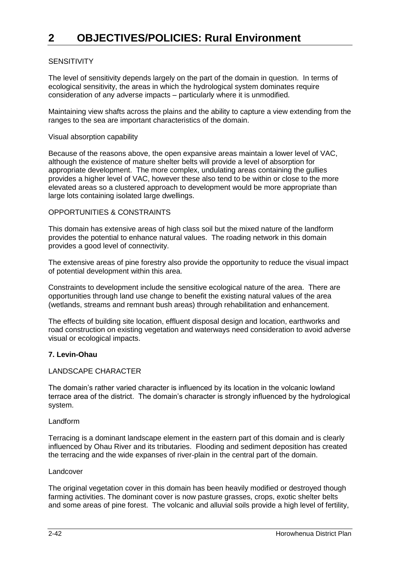#### **SENSITIVITY**

The level of sensitivity depends largely on the part of the domain in question. In terms of ecological sensitivity, the areas in which the hydrological system dominates require consideration of any adverse impacts – particularly where it is unmodified.

Maintaining view shafts across the plains and the ability to capture a view extending from the ranges to the sea are important characteristics of the domain.

#### Visual absorption capability

Because of the reasons above, the open expansive areas maintain a lower level of VAC, although the existence of mature shelter belts will provide a level of absorption for appropriate development. The more complex, undulating areas containing the gullies provides a higher level of VAC, however these also tend to be within or close to the more elevated areas so a clustered approach to development would be more appropriate than large lots containing isolated large dwellings.

#### OPPORTUNITIES & CONSTRAINTS

This domain has extensive areas of high class soil but the mixed nature of the landform provides the potential to enhance natural values. The roading network in this domain provides a good level of connectivity.

The extensive areas of pine forestry also provide the opportunity to reduce the visual impact of potential development within this area.

Constraints to development include the sensitive ecological nature of the area. There are opportunities through land use change to benefit the existing natural values of the area (wetlands, streams and remnant bush areas) through rehabilitation and enhancement.

The effects of building site location, effluent disposal design and location, earthworks and road construction on existing vegetation and waterways need consideration to avoid adverse visual or ecological impacts.

#### **7. Levin-Ohau**

#### LANDSCAPE CHARACTER

The domain's rather varied character is influenced by its location in the volcanic lowland terrace area of the district. The domain's character is strongly influenced by the hydrological system.

#### Landform

Terracing is a dominant landscape element in the eastern part of this domain and is clearly influenced by Ohau River and its tributaries. Flooding and sediment deposition has created the terracing and the wide expanses of river-plain in the central part of the domain.

#### Landcover

The original vegetation cover in this domain has been heavily modified or destroyed though farming activities. The dominant cover is now pasture grasses, crops, exotic shelter belts and some areas of pine forest. The volcanic and alluvial soils provide a high level of fertility,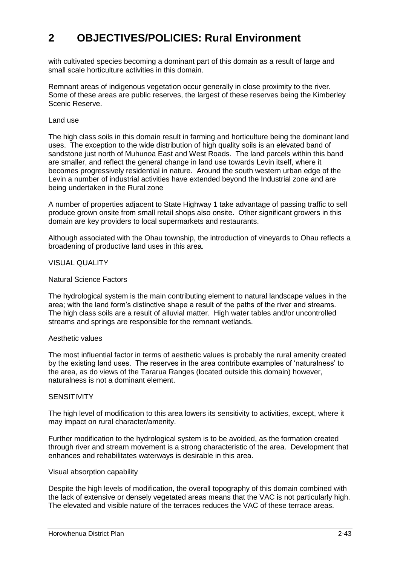with cultivated species becoming a dominant part of this domain as a result of large and small scale horticulture activities in this domain.

Remnant areas of indigenous vegetation occur generally in close proximity to the river. Some of these areas are public reserves, the largest of these reserves being the Kimberley Scenic Reserve.

#### Land use

The high class soils in this domain result in farming and horticulture being the dominant land uses. The exception to the wide distribution of high quality soils is an elevated band of sandstone just north of Muhunoa East and West Roads. The land parcels within this band are smaller, and reflect the general change in land use towards Levin itself, where it becomes progressively residential in nature. Around the south western urban edge of the Levin a number of industrial activities have extended beyond the Industrial zone and are being undertaken in the Rural zone

A number of properties adjacent to State Highway 1 take advantage of passing traffic to sell produce grown onsite from small retail shops also onsite. Other significant growers in this domain are key providers to local supermarkets and restaurants.

Although associated with the Ohau township, the introduction of vineyards to Ohau reflects a broadening of productive land uses in this area.

#### VISUAL QUALITY

#### Natural Science Factors

The hydrological system is the main contributing element to natural landscape values in the area; with the land form's distinctive shape a result of the paths of the river and streams. The high class soils are a result of alluvial matter. High water tables and/or uncontrolled streams and springs are responsible for the remnant wetlands.

#### Aesthetic values

The most influential factor in terms of aesthetic values is probably the rural amenity created by the existing land uses. The reserves in the area contribute examples of 'naturalness' to the area, as do views of the Tararua Ranges (located outside this domain) however, naturalness is not a dominant element.

#### **SENSITIVITY**

The high level of modification to this area lowers its sensitivity to activities, except, where it may impact on rural character/amenity.

Further modification to the hydrological system is to be avoided, as the formation created through river and stream movement is a strong characteristic of the area. Development that enhances and rehabilitates waterways is desirable in this area.

#### Visual absorption capability

Despite the high levels of modification, the overall topography of this domain combined with the lack of extensive or densely vegetated areas means that the VAC is not particularly high. The elevated and visible nature of the terraces reduces the VAC of these terrace areas.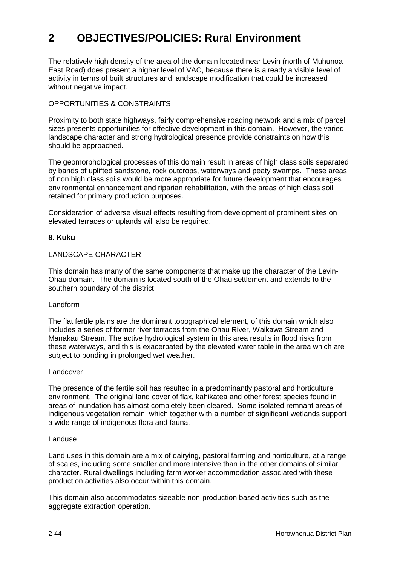The relatively high density of the area of the domain located near Levin (north of Muhunoa East Road) does present a higher level of VAC, because there is already a visible level of activity in terms of built structures and landscape modification that could be increased without negative impact.

#### OPPORTUNITIES & CONSTRAINTS

Proximity to both state highways, fairly comprehensive roading network and a mix of parcel sizes presents opportunities for effective development in this domain. However, the varied landscape character and strong hydrological presence provide constraints on how this should be approached.

The geomorphological processes of this domain result in areas of high class soils separated by bands of uplifted sandstone, rock outcrops, waterways and peaty swamps. These areas of non high class soils would be more appropriate for future development that encourages environmental enhancement and riparian rehabilitation, with the areas of high class soil retained for primary production purposes.

Consideration of adverse visual effects resulting from development of prominent sites on elevated terraces or uplands will also be required.

#### **8. Kuku**

#### LANDSCAPE CHARACTER

This domain has many of the same components that make up the character of the Levin-Ohau domain. The domain is located south of the Ohau settlement and extends to the southern boundary of the district.

#### Landform

The flat fertile plains are the dominant topographical element, of this domain which also includes a series of former river terraces from the Ohau River, Waikawa Stream and Manakau Stream. The active hydrological system in this area results in flood risks from these waterways, and this is exacerbated by the elevated water table in the area which are subject to ponding in prolonged wet weather.

#### Landcover

The presence of the fertile soil has resulted in a predominantly pastoral and horticulture environment. The original land cover of flax, kahikatea and other forest species found in areas of inundation has almost completely been cleared. Some isolated remnant areas of indigenous vegetation remain, which together with a number of significant wetlands support a wide range of indigenous flora and fauna.

#### Landuse

Land uses in this domain are a mix of dairying, pastoral farming and horticulture, at a range of scales, including some smaller and more intensive than in the other domains of similar character. Rural dwellings including farm worker accommodation associated with these production activities also occur within this domain.

This domain also accommodates sizeable non-production based activities such as the aggregate extraction operation.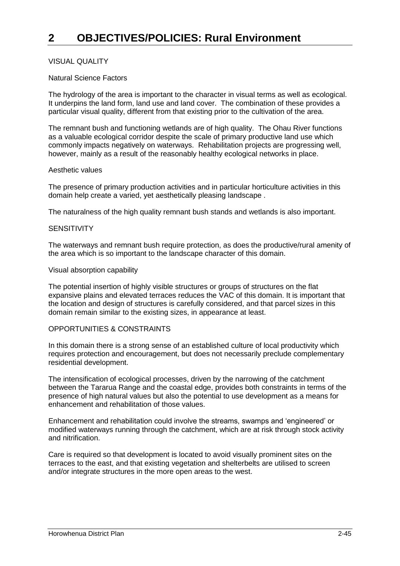#### VISUAL QUALITY

#### Natural Science Factors

The hydrology of the area is important to the character in visual terms as well as ecological. It underpins the land form, land use and land cover. The combination of these provides a particular visual quality, different from that existing prior to the cultivation of the area.

The remnant bush and functioning wetlands are of high quality. The Ohau River functions as a valuable ecological corridor despite the scale of primary productive land use which commonly impacts negatively on waterways. Rehabilitation projects are progressing well, however, mainly as a result of the reasonably healthy ecological networks in place.

#### Aesthetic values

The presence of primary production activities and in particular horticulture activities in this domain help create a varied, yet aesthetically pleasing landscape .

The naturalness of the high quality remnant bush stands and wetlands is also important.

#### **SENSITIVITY**

The waterways and remnant bush require protection, as does the productive/rural amenity of the area which is so important to the landscape character of this domain.

#### Visual absorption capability

The potential insertion of highly visible structures or groups of structures on the flat expansive plains and elevated terraces reduces the VAC of this domain. It is important that the location and design of structures is carefully considered, and that parcel sizes in this domain remain similar to the existing sizes, in appearance at least.

#### OPPORTUNITIES & CONSTRAINTS

In this domain there is a strong sense of an established culture of local productivity which requires protection and encouragement, but does not necessarily preclude complementary residential development.

The intensification of ecological processes, driven by the narrowing of the catchment between the Tararua Range and the coastal edge, provides both constraints in terms of the presence of high natural values but also the potential to use development as a means for enhancement and rehabilitation of those values.

Enhancement and rehabilitation could involve the streams, swamps and 'engineered' or modified waterways running through the catchment, which are at risk through stock activity and nitrification.

Care is required so that development is located to avoid visually prominent sites on the terraces to the east, and that existing vegetation and shelterbelts are utilised to screen and/or integrate structures in the more open areas to the west.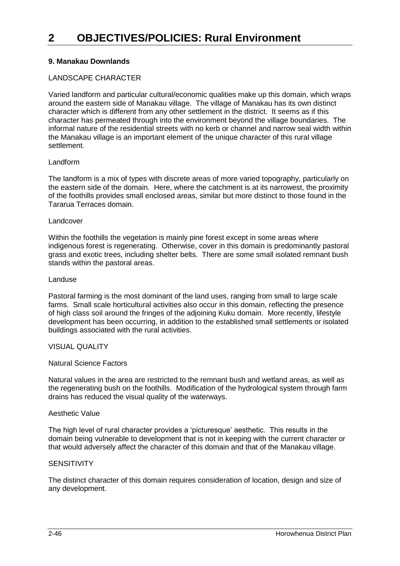#### **9. Manakau Downlands**

#### LANDSCAPE CHARACTER

Varied landform and particular cultural/economic qualities make up this domain, which wraps around the eastern side of Manakau village. The village of Manakau has its own distinct character which is different from any other settlement in the district. It seems as if this character has permeated through into the environment beyond the village boundaries. The informal nature of the residential streets with no kerb or channel and narrow seal width within the Manakau village is an important element of the unique character of this rural village settlement.

#### Landform

The landform is a mix of types with discrete areas of more varied topography, particularly on the eastern side of the domain. Here, where the catchment is at its narrowest, the proximity of the foothills provides small enclosed areas, similar but more distinct to those found in the Tararua Terraces domain.

#### Landcover

Within the foothills the vegetation is mainly pine forest except in some areas where indigenous forest is regenerating. Otherwise, cover in this domain is predominantly pastoral grass and exotic trees, including shelter belts. There are some small isolated remnant bush stands within the pastoral areas.

#### Landuse

Pastoral farming is the most dominant of the land uses, ranging from small to large scale farms. Small scale horticultural activities also occur in this domain, reflecting the presence of high class soil around the fringes of the adjoining Kuku domain. More recently, lifestyle development has been occurring, in addition to the established small settlements or isolated buildings associated with the rural activities.

#### VISUAL QUALITY

#### Natural Science Factors

Natural values in the area are restricted to the remnant bush and wetland areas, as well as the regenerating bush on the foothills. Modification of the hydrological system through farm drains has reduced the visual quality of the waterways.

#### Aesthetic Value

The high level of rural character provides a 'picturesque' aesthetic. This results in the domain being vulnerable to development that is not in keeping with the current character or that would adversely affect the character of this domain and that of the Manakau village.

#### **SENSITIVITY**

The distinct character of this domain requires consideration of location, design and size of any development.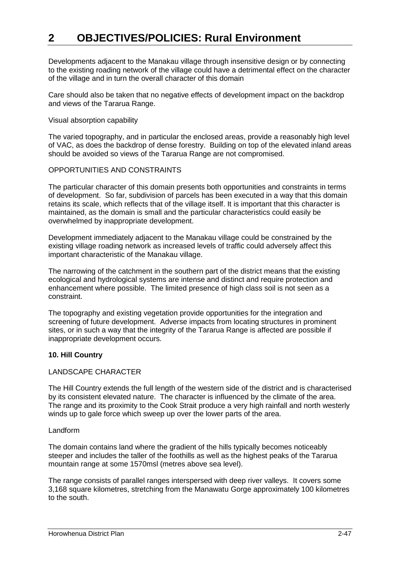Developments adjacent to the Manakau village through insensitive design or by connecting to the existing roading network of the village could have a detrimental effect on the character of the village and in turn the overall character of this domain

Care should also be taken that no negative effects of development impact on the backdrop and views of the Tararua Range.

#### Visual absorption capability

The varied topography, and in particular the enclosed areas, provide a reasonably high level of VAC, as does the backdrop of dense forestry. Building on top of the elevated inland areas should be avoided so views of the Tararua Range are not compromised.

#### OPPORTUNITIES AND CONSTRAINTS

The particular character of this domain presents both opportunities and constraints in terms of development. So far, subdivision of parcels has been executed in a way that this domain retains its scale, which reflects that of the village itself. It is important that this character is maintained, as the domain is small and the particular characteristics could easily be overwhelmed by inappropriate development.

Development immediately adjacent to the Manakau village could be constrained by the existing village roading network as increased levels of traffic could adversely affect this important characteristic of the Manakau village.

The narrowing of the catchment in the southern part of the district means that the existing ecological and hydrological systems are intense and distinct and require protection and enhancement where possible. The limited presence of high class soil is not seen as a constraint.

The topography and existing vegetation provide opportunities for the integration and screening of future development. Adverse impacts from locating structures in prominent sites, or in such a way that the integrity of the Tararua Range is affected are possible if inappropriate development occurs.

#### **10. Hill Country**

#### LANDSCAPE CHARACTER

The Hill Country extends the full length of the western side of the district and is characterised by its consistent elevated nature. The character is influenced by the climate of the area. The range and its proximity to the Cook Strait produce a very high rainfall and north westerly winds up to gale force which sweep up over the lower parts of the area.

#### Landform

The domain contains land where the gradient of the hills typically becomes noticeably steeper and includes the taller of the foothills as well as the highest peaks of the Tararua mountain range at some 1570msl (metres above sea level).

The range consists of parallel ranges interspersed with deep river valleys. It covers some 3,168 square kilometres, stretching from the Manawatu Gorge approximately 100 kilometres to the south.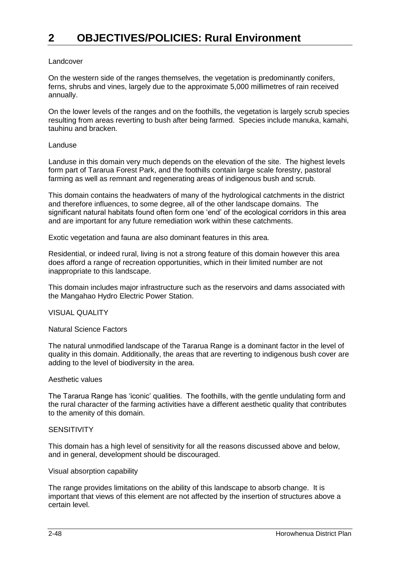#### Landcover

On the western side of the ranges themselves, the vegetation is predominantly conifers, ferns, shrubs and vines, largely due to the approximate 5,000 millimetres of rain received annually.

On the lower levels of the ranges and on the foothills, the vegetation is largely scrub species resulting from areas reverting to bush after being farmed. Species include manuka, kamahi, tauhinu and bracken.

#### Landuse

Landuse in this domain very much depends on the elevation of the site. The highest levels form part of Tararua Forest Park, and the foothills contain large scale forestry, pastoral farming as well as remnant and regenerating areas of indigenous bush and scrub.

This domain contains the headwaters of many of the hydrological catchments in the district and therefore influences, to some degree, all of the other landscape domains. The significant natural habitats found often form one 'end' of the ecological corridors in this area and are important for any future remediation work within these catchments.

Exotic vegetation and fauna are also dominant features in this area.

Residential, or indeed rural, living is not a strong feature of this domain however this area does afford a range of recreation opportunities, which in their limited number are not inappropriate to this landscape.

This domain includes major infrastructure such as the reservoirs and dams associated with the Mangahao Hydro Electric Power Station.

#### VISUAL QUALITY

Natural Science Factors

The natural unmodified landscape of the Tararua Range is a dominant factor in the level of quality in this domain. Additionally, the areas that are reverting to indigenous bush cover are adding to the level of biodiversity in the area.

#### Aesthetic values

The Tararua Range has 'iconic' qualities. The foothills, with the gentle undulating form and the rural character of the farming activities have a different aesthetic quality that contributes to the amenity of this domain.

#### **SENSITIVITY**

This domain has a high level of sensitivity for all the reasons discussed above and below, and in general, development should be discouraged.

#### Visual absorption capability

The range provides limitations on the ability of this landscape to absorb change. It is important that views of this element are not affected by the insertion of structures above a certain level.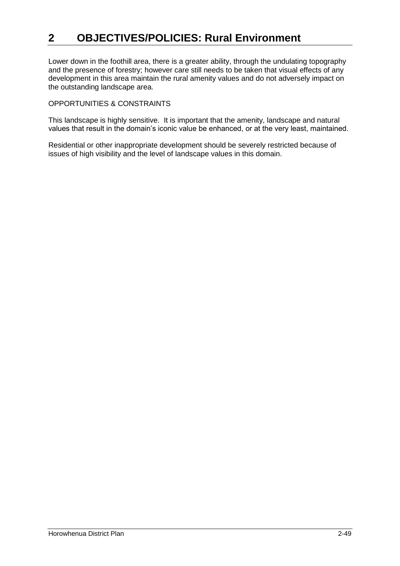Lower down in the foothill area, there is a greater ability, through the undulating topography and the presence of forestry; however care still needs to be taken that visual effects of any development in this area maintain the rural amenity values and do not adversely impact on the outstanding landscape area.

#### OPPORTUNITIES & CONSTRAINTS

This landscape is highly sensitive. It is important that the amenity, landscape and natural values that result in the domain's iconic value be enhanced, or at the very least, maintained.

Residential or other inappropriate development should be severely restricted because of issues of high visibility and the level of landscape values in this domain.